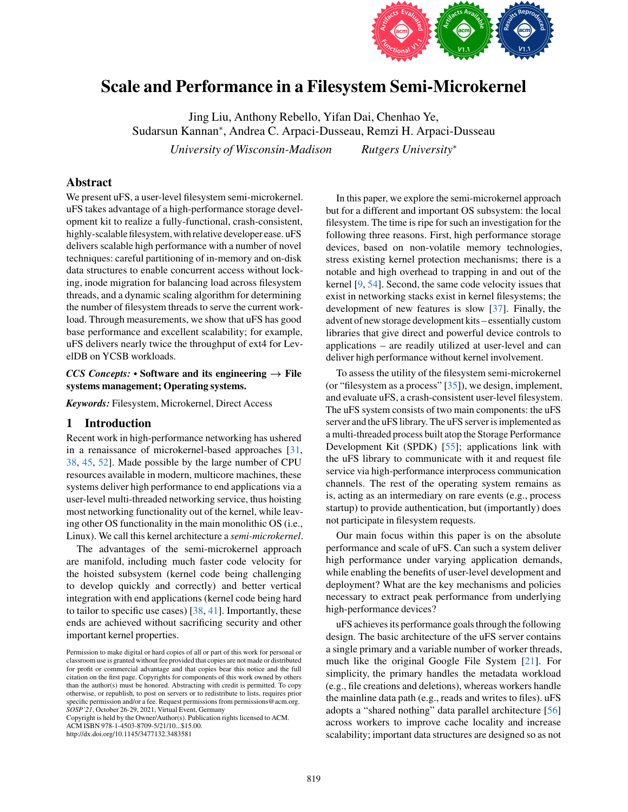

# Scale and Performance in a Filesystem Semi-Microkernel

Jing Liu, Anthony Rebello, Yifan Dai, Chenhao Ye, Sudarsun Kannan<sup>∗</sup> , Andrea C. Arpaci-Dusseau, Remzi H. Arpaci-Dusseau *University of Wisconsin-Madison Rutgers University*<sup>∗</sup>

# Abstract

We present uFS, a user-level filesystem semi-microkernel. uFS takes advantage of a high-performance storage development kit to realize a fully-functional, crash-consistent, highly-scalable filesystem, with relative developer ease. uFS delivers scalable high performance with a number of novel techniques: careful partitioning of in-memory and on-disk data structures to enable concurrent access without locking, inode migration for balancing load across filesystem threads, and a dynamic scaling algorithm for determining the number of filesystem threads to serve the current workload. Through measurements, we show that uFS has good base performance and excellent scalability; for example, uFS delivers nearly twice the throughput of ext4 for LevelDB on YCSB workloads.

### *CCS Concepts:* • Software and its engineering  $\rightarrow$  File systems management; Operating systems.

*Keywords:* Filesystem, Microkernel, Direct Access

# 1 Introduction

Recent work in high-performance networking has ushered in a renaissance of microkernel-based approaches [\[31,](#page-14-0) [38,](#page-15-0) [45,](#page-15-1) [52\]](#page-15-2). Made possible by the large number of CPU resources available in modern, multicore machines, these systems deliver high performance to end applications via a user-level multi-threaded networking service, thus hoisting most networking functionality out of the kernel, while leaving other OS functionality in the main monolithic OS (i.e., Linux). We call this kernel architecture a *semi-microkernel*.

The advantages of the semi-microkernel approach are manifold, including much faster code velocity for the hoisted subsystem (kernel code being challenging to develop quickly and correctly) and better vertical integration with end applications (kernel code being hard to tailor to specific use cases) [\[38,](#page-15-0) [41\]](#page-15-3). Importantly, these ends are achieved without sacrificing security and other important kernel properties.

Copyright is held by the Owner/Author(s). Publication rights licensed to ACM.

ACM ISBN 978-1-4503-8709-5/21/10...\$15.00.

http://dx.doi.org/10.1145/3477132.3483581

In this paper, we explore the semi-microkernel approach but for a different and important OS subsystem: the local filesystem. The time is ripe for such an investigation for the following three reasons. First, high performance storage devices, based on non-volatile memory technologies, stress existing kernel protection mechanisms; there is a notable and high overhead to trapping in and out of the kernel [\[9,](#page-14-1) [54\]](#page-15-4). Second, the same code velocity issues that exist in networking stacks exist in kernel filesystems; the development of new features is slow [\[37\]](#page-15-5). Finally, the advent of new storage development kits – essentially custom libraries that give direct and powerful device controls to applications – are readily utilized at user-level and can deliver high performance without kernel involvement.

To assess the utility of the filesystem semi-microkernel (or "filesystem as a process"  $[35]$ ), we design, implement, and evaluate uFS, a crash-consistent user-level filesystem. The uFS system consists of two main components: the uFS server and the uFS library. The uFS server is implemented as a multi-threaded process built atop the Storage Performance Development Kit (SPDK) [\[55\]](#page-15-7); applications link with the uFS library to communicate with it and request file service via high-performance interprocess communication channels. The rest of the operating system remains as is, acting as an intermediary on rare events (e.g., process startup) to provide authentication, but (importantly) does not participate in filesystem requests.

Our main focus within this paper is on the absolute performance and scale of uFS. Can such a system deliver high performance under varying application demands, while enabling the benefits of user-level development and deployment? What are the key mechanisms and policies necessary to extract peak performance from underlying high-performance devices?

uFS achieves its performance goals through the following design. The basic architecture of the uFS server contains a single primary and a variable number of worker threads, much like the original Google File System [\[21\]](#page-14-2). For simplicity, the primary handles the metadata workload (e.g., file creations and deletions), whereas workers handle the mainline data path (e.g., reads and writes to files). uFS adopts a "shared nothing" data parallel architecture [\[56\]](#page-15-8) across workers to improve cache locality and increase scalability; important data structures are designed so as not

Permission to make digital or hard copies of all or part of this work for personal or classroom use is granted without fee provided that copies are not made or distributed for profit or commercial advantage and that copies bear this notice and the full citation on the first page. Copyrights for components of this work owned by others than the author(s) must be honored. Abstracting with credit is permitted. To copy otherwise, or republish, to post on servers or to redistribute to lists, requires prior specific permission and/or a fee. Request permissions from permissions @acm.org. *SOSP'21*, October 26-29, 2021, Virtual Event, Germany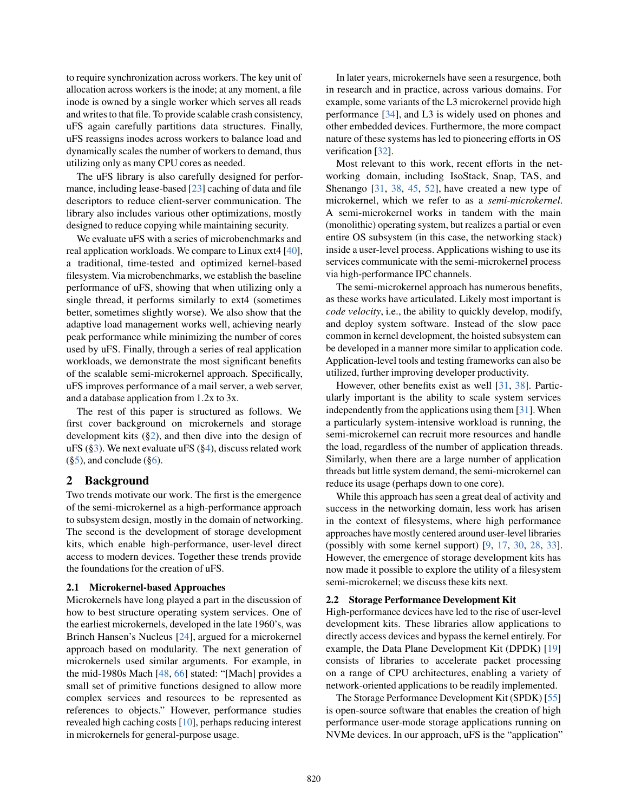to require synchronization across workers. The key unit of allocation across workers is the inode; at any moment, a file inode is owned by a single worker which serves all reads and writes to that file. To provide scalable crash consistency, uFS again carefully partitions data structures. Finally, uFS reassigns inodes across workers to balance load and dynamically scales the number of workers to demand, thus utilizing only as many CPU cores as needed.

The uFS library is also carefully designed for performance, including lease-based [\[23\]](#page-14-3) caching of data and file descriptors to reduce client-server communication. The library also includes various other optimizations, mostly designed to reduce copying while maintaining security.

We evaluate uFS with a series of microbenchmarks and real application workloads. We compare to Linux ext4 [\[40\]](#page-15-9), a traditional, time-tested and optimized kernel-based filesystem. Via microbenchmarks, we establish the baseline performance of uFS, showing that when utilizing only a single thread, it performs similarly to ext4 (sometimes better, sometimes slightly worse). We also show that the adaptive load management works well, achieving nearly peak performance while minimizing the number of cores used by uFS. Finally, through a series of real application workloads, we demonstrate the most significant benefits of the scalable semi-microkernel approach. Specifically, uFS improves performance of a mail server, a web server, and a database application from 1.2x to 3x.

The rest of this paper is structured as follows. We first cover background on microkernels and storage development kits ([§2\)](#page-1-0), and then dive into the design of uFS  $(\S_3)$ . We next evaluate uFS  $(\S_4)$ , discuss related work  $(\S 5)$ , and conclude  $(\S 6)$ .

# <span id="page-1-0"></span>2 Background

Two trends motivate our work. The first is the emergence of the semi-microkernel as a high-performance approach to subsystem design, mostly in the domain of networking. The second is the development of storage development kits, which enable high-performance, user-level direct access to modern devices. Together these trends provide the foundations for the creation of uFS.

#### 2.1 Microkernel-based Approaches

Microkernels have long played a part in the discussion of how to best structure operating system services. One of the earliest microkernels, developed in the late 1960's, was Brinch Hansen's Nucleus [\[24\]](#page-14-4), argued for a microkernel approach based on modularity. The next generation of microkernels used similar arguments. For example, in the mid-1980s Mach [\[48,](#page-15-10) [66\]](#page-16-0) stated: "[Mach] provides a small set of primitive functions designed to allow more complex services and resources to be represented as references to objects." However, performance studies revealed high caching costs [\[10\]](#page-14-5), perhaps reducing interest in microkernels for general-purpose usage.

In later years, microkernels have seen a resurgence, both in research and in practice, across various domains. For example, some variants of the L3 microkernel provide high performance [\[34\]](#page-15-11), and L3 is widely used on phones and other embedded devices. Furthermore, the more compact nature of these systems has led to pioneering efforts in OS verification [\[32\]](#page-15-12).

Most relevant to this work, recent efforts in the networking domain, including IsoStack, Snap, TAS, and Shenango [\[31,](#page-14-0) [38,](#page-15-0) [45,](#page-15-1) [52\]](#page-15-2), have created a new type of microkernel, which we refer to as a *semi-microkernel*. A semi-microkernel works in tandem with the main (monolithic) operating system, but realizes a partial or even entire OS subsystem (in this case, the networking stack) inside a user-level process. Applications wishing to use its services communicate with the semi-microkernel process via high-performance IPC channels.

The semi-microkernel approach has numerous benefits, as these works have articulated. Likely most important is *code velocity*, i.e., the ability to quickly develop, modify, and deploy system software. Instead of the slow pace common in kernel development, the hoisted subsystem can be developed in a manner more similar to application code. Application-level tools and testing frameworks can also be utilized, further improving developer productivity.

However, other benefits exist as well [\[31,](#page-14-0) [38\]](#page-15-0). Particularly important is the ability to scale system services independently from the applications using them [\[31\]](#page-14-0). When a particularly system-intensive workload is running, the semi-microkernel can recruit more resources and handle the load, regardless of the number of application threads. Similarly, when there are a large number of application threads but little system demand, the semi-microkernel can reduce its usage (perhaps down to one core).

While this approach has seen a great deal of activity and success in the networking domain, less work has arisen in the context of filesystems, where high performance approaches have mostly centered around user-level libraries (possibly with some kernel support) [\[9,](#page-14-1) [17,](#page-14-6) [30,](#page-14-7) [28,](#page-14-8) [33\]](#page-15-13). However, the emergence of storage development kits has now made it possible to explore the utility of a filesystem semi-microkernel; we discuss these kits next.

#### 2.2 Storage Performance Development Kit

High-performance devices have led to the rise of user-level development kits. These libraries allow applications to directly access devices and bypass the kernel entirely. For example, the Data Plane Development Kit (DPDK) [\[19\]](#page-14-9) consists of libraries to accelerate packet processing on a range of CPU architectures, enabling a variety of network-oriented applications to be readily implemented.

The Storage Performance Development Kit (SPDK) [\[55\]](#page-15-7) is open-source software that enables the creation of high performance user-mode storage applications running on NVMe devices. In our approach, uFS is the "application"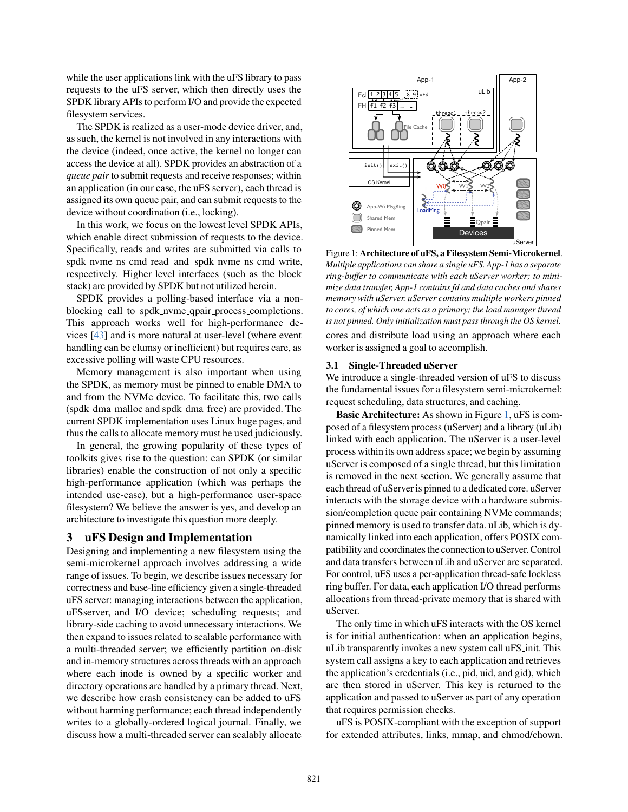while the user applications link with the uFS library to pass requests to the uFS server, which then directly uses the SPDK library APIs to perform I/O and provide the expected filesystem services.

The SPDK is realized as a user-mode device driver, and, as such, the kernel is not involved in any interactions with the device (indeed, once active, the kernel no longer can access the device at all). SPDK provides an abstraction of a *queue pair* to submit requests and receive responses; within an application (in our case, the uFS server), each thread is assigned its own queue pair, and can submit requests to the device without coordination (i.e., locking).

In this work, we focus on the lowest level SPDK APIs, which enable direct submission of requests to the device. Specifically, reads and writes are submitted via calls to spdk nvme ns cmd read and spdk nvme ns cmd write, respectively. Higher level interfaces (such as the block stack) are provided by SPDK but not utilized herein.

SPDK provides a polling-based interface via a nonblocking call to spdk nvme qpair process completions. This approach works well for high-performance devices [\[43\]](#page-15-14) and is more natural at user-level (where event handling can be clumsy or inefficient) but requires care, as excessive polling will waste CPU resources.

Memory management is also important when using the SPDK, as memory must be pinned to enable DMA to and from the NVMe device. To facilitate this, two calls (spdk dma malloc and spdk dma free) are provided. The current SPDK implementation uses Linux huge pages, and thus the calls to allocate memory must be used judiciously.

In general, the growing popularity of these types of toolkits gives rise to the question: can SPDK (or similar libraries) enable the construction of not only a specific high-performance application (which was perhaps the intended use-case), but a high-performance user-space filesystem? We believe the answer is yes, and develop an architecture to investigate this question more deeply.

### <span id="page-2-0"></span>3 uFS Design and Implementation

Designing and implementing a new filesystem using the semi-microkernel approach involves addressing a wide range of issues. To begin, we describe issues necessary for correctness and base-line efficiency given a single-threaded uFS server: managing interactions between the application, uFSserver, and I/O device; scheduling requests; and library-side caching to avoid unnecessary interactions. We then expand to issues related to scalable performance with a multi-threaded server; we efficiently partition on-disk and in-memory structures across threads with an approach where each inode is owned by a specific worker and directory operations are handled by a primary thread. Next, we describe how crash consistency can be added to uFS without harming performance; each thread independently writes to a globally-ordered logical journal. Finally, we discuss how a multi-threaded server can scalably allocate

<span id="page-2-1"></span>

Figure 1: Architecture of uFS, a Filesystem Semi-Microkernel. *Multiple applications can share a single uFS. App-1 has a separate ring-buffer to communicate with each uServer worker; to minimize data transfer, App-1 contains fd and data caches and shares memory with uServer. uServer contains multiple workers pinned to cores, of which one acts as a primary; the load manager thread is not pinned. Only initialization must pass through the OS kernel.*

cores and distribute load using an approach where each worker is assigned a goal to accomplish.

#### 3.1 Single-Threaded uServer

We introduce a single-threaded version of uFS to discuss the fundamental issues for a filesystem semi-microkernel: request scheduling, data structures, and caching.

Basic Architecture: As shown in Figure [1,](#page-2-1) uFS is composed of a filesystem process (uServer) and a library (uLib) linked with each application. The uServer is a user-level process within its own address space; we begin by assuming uServer is composed of a single thread, but this limitation is removed in the next section. We generally assume that each thread of uServer is pinned to a dedicated core. uServer interacts with the storage device with a hardware submission/completion queue pair containing NVMe commands; pinned memory is used to transfer data. uLib, which is dynamically linked into each application, offers POSIX compatibility and coordinates the connection to uServer. Control and data transfers between uLib and uServer are separated. For control, uFS uses a per-application thread-safe lockless ring buffer. For data, each application I/O thread performs allocations from thread-private memory that is shared with uServer.

The only time in which uFS interacts with the OS kernel is for initial authentication: when an application begins, uLib transparently invokes a new system call uFS\_init. This system call assigns a key to each application and retrieves the application's credentials (i.e., pid, uid, and gid), which are then stored in uServer. This key is returned to the application and passed to uServer as part of any operation that requires permission checks.

uFS is POSIX-compliant with the exception of support for extended attributes, links, mmap, and chmod/chown.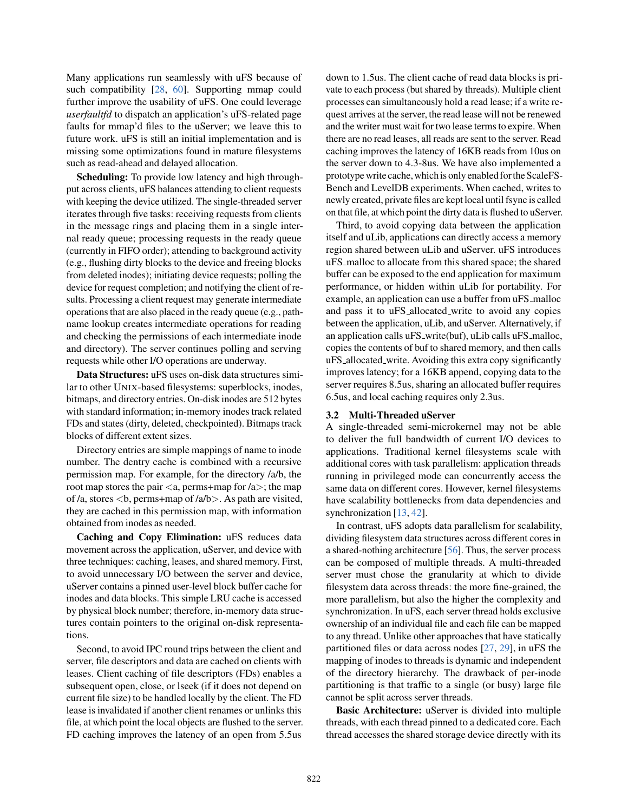Many applications run seamlessly with uFS because of such compatibility [\[28,](#page-14-8) [60\]](#page-15-15). Supporting mmap could further improve the usability of uFS. One could leverage *userfaultfd* to dispatch an application's uFS-related page faults for mmap'd files to the uServer; we leave this to future work. uFS is still an initial implementation and is missing some optimizations found in mature filesystems such as read-ahead and delayed allocation.

Scheduling: To provide low latency and high throughput across clients, uFS balances attending to client requests with keeping the device utilized. The single-threaded server iterates through five tasks: receiving requests from clients in the message rings and placing them in a single internal ready queue; processing requests in the ready queue (currently in FIFO order); attending to background activity (e.g., flushing dirty blocks to the device and freeing blocks from deleted inodes); initiating device requests; polling the device for request completion; and notifying the client of results. Processing a client request may generate intermediate operations that are also placed in the ready queue (e.g., pathname lookup creates intermediate operations for reading and checking the permissions of each intermediate inode and directory). The server continues polling and serving requests while other I/O operations are underway.

Data Structures: uFS uses on-disk data structures similar to other UNIX-based filesystems: superblocks, inodes, bitmaps, and directory entries. On-disk inodes are 512 bytes with standard information; in-memory inodes track related FDs and states (dirty, deleted, checkpointed). Bitmaps track blocks of different extent sizes.

Directory entries are simple mappings of name to inode number. The dentry cache is combined with a recursive permission map. For example, for the directory /a/b, the root map stores the pair  $\langle a, \text{perms}+\text{map}$  for  $\langle a \rangle$ ; the map of /a, stores <b, perms+map of /a/b>. As path are visited, they are cached in this permission map, with information obtained from inodes as needed.

Caching and Copy Elimination: uFS reduces data movement across the application, uServer, and device with three techniques: caching, leases, and shared memory. First, to avoid unnecessary I/O between the server and device, uServer contains a pinned user-level block buffer cache for inodes and data blocks. This simple LRU cache is accessed by physical block number; therefore, in-memory data structures contain pointers to the original on-disk representations.

Second, to avoid IPC round trips between the client and server, file descriptors and data are cached on clients with leases. Client caching of file descriptors (FDs) enables a subsequent open, close, or lseek (if it does not depend on current file size) to be handled locally by the client. The FD lease is invalidated if another client renames or unlinks this file, at which point the local objects are flushed to the server. FD caching improves the latency of an open from 5.5us

down to 1.5us. The client cache of read data blocks is private to each process (but shared by threads). Multiple client processes can simultaneously hold a read lease; if a write request arrives at the server, the read lease will not be renewed and the writer must wait for two lease terms to expire. When there are no read leases, all reads are sent to the server. Read caching improves the latency of 16KB reads from 10us on the server down to 4.3-8us. We have also implemented a prototype write cache,whichis only enabled forthe ScaleFS-Bench and LevelDB experiments. When cached, writes to newly created, private files are kept local until fsync is called on that file, at which point the dirty data is flushed to uServer.

Third, to avoid copying data between the application itself and uLib, applications can directly access a memory region shared between uLib and uServer. uFS introduces uFS malloc to allocate from this shared space; the shared buffer can be exposed to the end application for maximum performance, or hidden within uLib for portability. For example, an application can use a buffer from uFS\_malloc and pass it to uFS allocated write to avoid any copies between the application, uLib, and uServer. Alternatively, if an application calls uFS\_write(buf), uLib calls uFS\_malloc, copies the contents of buf to shared memory, and then calls uFS allocated write. Avoiding this extra copy significantly improves latency; for a 16KB append, copying data to the server requires 8.5us, sharing an allocated buffer requires 6.5us, and local caching requires only 2.3us.

### 3.2 Multi-Threaded uServer

A single-threaded semi-microkernel may not be able to deliver the full bandwidth of current I/O devices to applications. Traditional kernel filesystems scale with additional cores with task parallelism: application threads running in privileged mode can concurrently access the same data on different cores. However, kernel filesystems have scalability bottlenecks from data dependencies and synchronization [\[13,](#page-14-10) [42\]](#page-15-16).

In contrast, uFS adopts data parallelism for scalability, dividing filesystem data structures across different cores in a shared-nothing architecture [\[56\]](#page-15-8). Thus, the server process can be composed of multiple threads. A multi-threaded server must chose the granularity at which to divide filesystem data across threads: the more fine-grained, the more parallelism, but also the higher the complexity and synchronization. In uFS, each server thread holds exclusive ownership of an individual file and each file can be mapped to any thread. Unlike other approaches that have statically partitioned files or data across nodes [\[27,](#page-14-11) [29\]](#page-14-12), in uFS the mapping of inodes to threads is dynamic and independent of the directory hierarchy. The drawback of per-inode partitioning is that traffic to a single (or busy) large file cannot be split across server threads.

Basic Architecture: uServer is divided into multiple threads, with each thread pinned to a dedicated core. Each thread accesses the shared storage device directly with its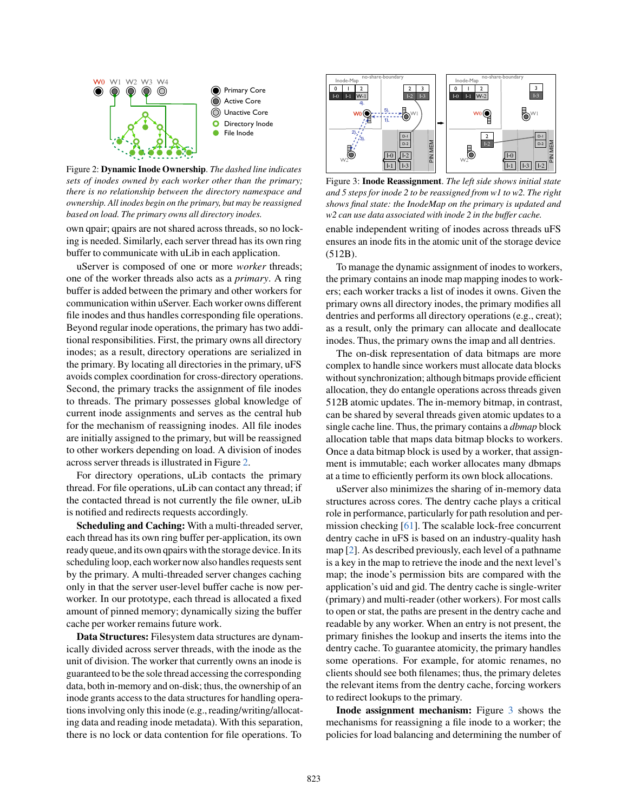<span id="page-4-0"></span>

**O** Primary Core Active Core Unactive Core **O** Directory Inode File Inode

Figure 2: Dynamic Inode Ownership. *The dashed line indicates sets of inodes owned by each worker other than the primary; there is no relationship between the directory namespace and ownership. All inodes begin on the primary, but may be reassigned based on load. The primary owns all directory inodes.*

own qpair; qpairs are not shared across threads, so no locking is needed. Similarly, each server thread has its own ring buffer to communicate with uLib in each application.

uServer is composed of one or more *worker* threads; one of the worker threads also acts as a *primary*. A ring buffer is added between the primary and other workers for communication within uServer. Each worker owns different file inodes and thus handles corresponding file operations. Beyond regular inode operations, the primary has two additional responsibilities. First, the primary owns all directory inodes; as a result, directory operations are serialized in the primary. By locating all directories in the primary, uFS avoids complex coordination for cross-directory operations. Second, the primary tracks the assignment of file inodes to threads. The primary possesses global knowledge of current inode assignments and serves as the central hub for the mechanism of reassigning inodes. All file inodes are initially assigned to the primary, but will be reassigned to other workers depending on load. A division of inodes across server threads is illustrated in Figure [2.](#page-4-0)

For directory operations, uLib contacts the primary thread. For file operations, uLib can contact any thread; if the contacted thread is not currently the file owner, uLib is notified and redirects requests accordingly.

Scheduling and Caching: With a multi-threaded server, each thread has its own ring buffer per-application, its own ready queue, and its own qpairs with the storage device. In its scheduling loop, each worker now also handles requests sent by the primary. A multi-threaded server changes caching only in that the server user-level buffer cache is now perworker. In our prototype, each thread is allocated a fixed amount of pinned memory; dynamically sizing the buffer cache per worker remains future work.

Data Structures: Filesystem data structures are dynamically divided across server threads, with the inode as the unit of division. The worker that currently owns an inode is guaranteed to be the sole thread accessing the corresponding data, both in-memory and on-disk; thus, the ownership of an inode grants access to the data structures for handling operations involving only this inode (e.g., reading/writing/allocating data and reading inode metadata). With this separation, there is no lock or data contention for file operations. To

<span id="page-4-1"></span>

Figure 3: Inode Reassignment. *The left side shows initial state and 5 steps for inode 2 to be reassigned from w1 to w2. The right shows final state: the InodeMap on the primary is updated and w2 can use data associated with inode 2 in the buffer cache.*

enable independent writing of inodes across threads uFS ensures an inode fits in the atomic unit of the storage device (512B).

To manage the dynamic assignment of inodes to workers, the primary contains an inode map mapping inodes to workers; each worker tracks a list of inodes it owns. Given the primary owns all directory inodes, the primary modifies all dentries and performs all directory operations (e.g., creat); as a result, only the primary can allocate and deallocate inodes. Thus, the primary owns the imap and all dentries.

The on-disk representation of data bitmaps are more complex to handle since workers must allocate data blocks without synchronization; although bitmaps provide efficient allocation, they do entangle operations across threads given 512B atomic updates. The in-memory bitmap, in contrast, can be shared by several threads given atomic updates to a single cache line. Thus, the primary contains a *dbmap* block allocation table that maps data bitmap blocks to workers. Once a data bitmap block is used by a worker, that assignment is immutable; each worker allocates many dbmaps at a time to efficiently perform its own block allocations.

uServer also minimizes the sharing of in-memory data structures across cores. The dentry cache plays a critical role in performance, particularly for path resolution and permission checking [\[61\]](#page-15-17). The scalable lock-free concurrent dentry cache in uFS is based on an industry-quality hash map [\[2\]](#page-14-13). As described previously, each level of a pathname is a key in the map to retrieve the inode and the next level's map; the inode's permission bits are compared with the application's uid and gid. The dentry cache is single-writer (primary) and multi-reader (other workers). For most calls to open or stat, the paths are present in the dentry cache and readable by any worker. When an entry is not present, the primary finishes the lookup and inserts the items into the dentry cache. To guarantee atomicity, the primary handles some operations. For example, for atomic renames, no clients should see both filenames; thus, the primary deletes the relevant items from the dentry cache, forcing workers to redirect lookups to the primary.

Inode assignment mechanism: Figure [3](#page-4-1) shows the mechanisms for reassigning a file inode to a worker; the policies for load balancing and determining the number of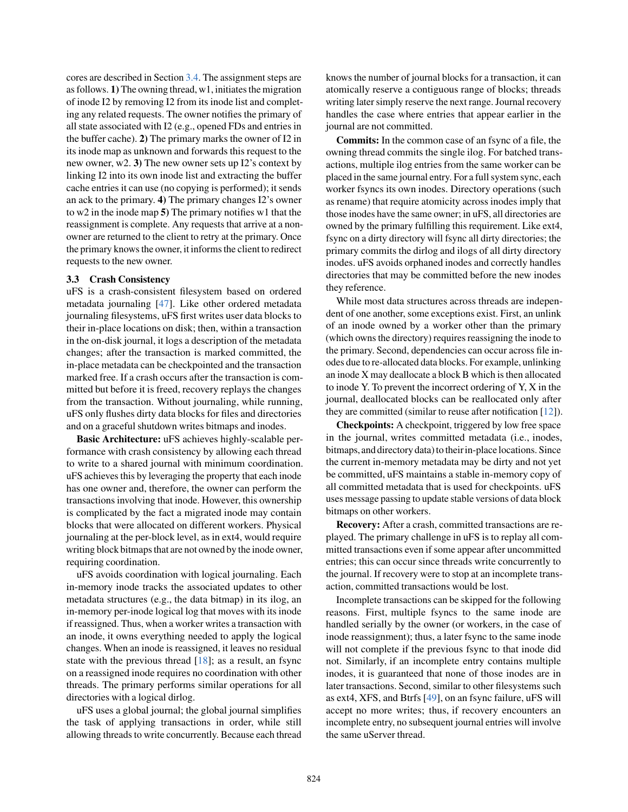cores are described in Section [3.4.](#page-6-1) The assignment steps are as follows. 1) The owning thread, w1, initiates the migration of inode I2 by removing I2 from its inode list and completing any related requests. The owner notifies the primary of all state associated with I2 (e.g., opened FDs and entries in the buffer cache). 2) The primary marks the owner of I2 in its inode map as unknown and forwards this request to the new owner, w2. 3) The new owner sets up I2's context by linking I2 into its own inode list and extracting the buffer cache entries it can use (no copying is performed); it sends an ack to the primary. 4) The primary changes I2's owner to w2 in the inode map 5) The primary notifies w1 that the reassignment is complete. Any requests that arrive at a nonowner are returned to the client to retry at the primary. Once the primary knows the owner, it informs the client to redirect requests to the new owner.

#### 3.3 Crash Consistency

uFS is a crash-consistent filesystem based on ordered metadata journaling [\[47\]](#page-15-18). Like other ordered metadata journaling filesystems, uFS first writes user data blocks to their in-place locations on disk; then, within a transaction in the on-disk journal, it logs a description of the metadata changes; after the transaction is marked committed, the in-place metadata can be checkpointed and the transaction marked free. If a crash occurs after the transaction is committed but before it is freed, recovery replays the changes from the transaction. Without journaling, while running, uFS only flushes dirty data blocks for files and directories and on a graceful shutdown writes bitmaps and inodes.

Basic Architecture: uFS achieves highly-scalable performance with crash consistency by allowing each thread to write to a shared journal with minimum coordination. uFS achieves this by leveraging the property that each inode has one owner and, therefore, the owner can perform the transactions involving that inode. However, this ownership is complicated by the fact a migrated inode may contain blocks that were allocated on different workers. Physical journaling at the per-block level, as in ext4, would require writing block bitmaps that are not owned by the inode owner, requiring coordination.

uFS avoids coordination with logical journaling. Each in-memory inode tracks the associated updates to other metadata structures (e.g., the data bitmap) in its ilog, an in-memory per-inode logical log that moves with its inode if reassigned. Thus, when a worker writes a transaction with an inode, it owns everything needed to apply the logical changes. When an inode is reassigned, it leaves no residual state with the previous thread  $[18]$ ; as a result, an fsync on a reassigned inode requires no coordination with other threads. The primary performs similar operations for all directories with a logical dirlog.

uFS uses a global journal; the global journal simplifies the task of applying transactions in order, while still allowing threads to write concurrently. Because each thread

knows the number of journal blocks for a transaction, it can atomically reserve a contiguous range of blocks; threads writing later simply reserve the next range. Journal recovery handles the case where entries that appear earlier in the journal are not committed.

Commits: In the common case of an fsync of a file, the owning thread commits the single ilog. For batched transactions, multiple ilog entries from the same worker can be placed in the same journal entry. For a full system sync, each worker fsyncs its own inodes. Directory operations (such as rename) that require atomicity across inodes imply that those inodes have the same owner; in uFS, all directories are owned by the primary fulfilling this requirement. Like ext4, fsync on a dirty directory will fsync all dirty directories; the primary commits the dirlog and ilogs of all dirty directory inodes. uFS avoids orphaned inodes and correctly handles directories that may be committed before the new inodes they reference.

While most data structures across threads are independent of one another, some exceptions exist. First, an unlink of an inode owned by a worker other than the primary (which owns the directory) requires reassigning the inode to the primary. Second, dependencies can occur across file inodes due to re-allocated data blocks. For example, unlinking an inode X may deallocate a block B which is then allocated to inode Y. To prevent the incorrect ordering of Y, X in the journal, deallocated blocks can be reallocated only after they are committed (similar to reuse after notification [\[12\]](#page-14-15)).

Checkpoints: A checkpoint, triggered by low free space in the journal, writes committed metadata (i.e., inodes, bitmaps, and directory data) to their in-place locations. Since the current in-memory metadata may be dirty and not yet be committed, uFS maintains a stable in-memory copy of all committed metadata that is used for checkpoints. uFS uses message passing to update stable versions of data block bitmaps on other workers.

Recovery: After a crash, committed transactions are replayed. The primary challenge in uFS is to replay all committed transactions even if some appear after uncommitted entries; this can occur since threads write concurrently to the journal. If recovery were to stop at an incomplete transaction, committed transactions would be lost.

Incomplete transactions can be skipped for the following reasons. First, multiple fsyncs to the same inode are handled serially by the owner (or workers, in the case of inode reassignment); thus, a later fsync to the same inode will not complete if the previous fsync to that inode did not. Similarly, if an incomplete entry contains multiple inodes, it is guaranteed that none of those inodes are in later transactions. Second, similar to other filesystems such as ext4, XFS, and Btrfs [\[49\]](#page-15-19), on an fsync failure, uFS will accept no more writes; thus, if recovery encounters an incomplete entry, no subsequent journal entries will involve the same uServer thread.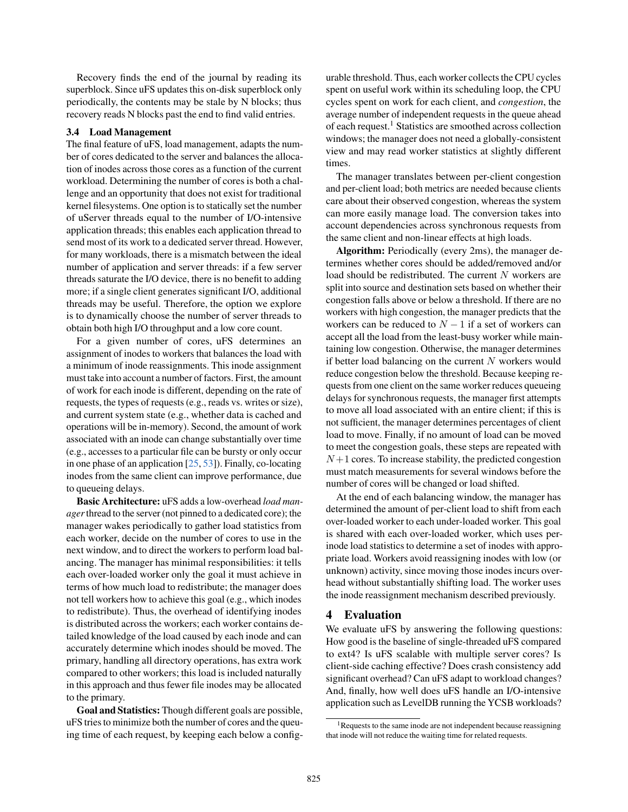Recovery finds the end of the journal by reading its superblock. Since uFS updates this on-disk superblock only periodically, the contents may be stale by N blocks; thus recovery reads N blocks past the end to find valid entries.

#### <span id="page-6-1"></span>3.4 Load Management

The final feature of uFS, load management, adapts the number of cores dedicated to the server and balances the allocation of inodes across those cores as a function of the current workload. Determining the number of cores is both a challenge and an opportunity that does not exist for traditional kernel filesystems. One option is to statically set the number of uServer threads equal to the number of I/O-intensive application threads; this enables each application thread to send most of its work to a dedicated server thread. However, for many workloads, there is a mismatch between the ideal number of application and server threads: if a few server threads saturate the I/O device, there is no benefit to adding more; if a single client generates significant I/O, additional threads may be useful. Therefore, the option we explore is to dynamically choose the number of server threads to obtain both high I/O throughput and a low core count.

For a given number of cores, uFS determines an assignment of inodes to workers that balances the load with a minimum of inode reassignments. This inode assignment must take into account a number of factors. First, the amount of work for each inode is different, depending on the rate of requests, the types of requests (e.g., reads vs. writes or size), and current system state (e.g., whether data is cached and operations will be in-memory). Second, the amount of work associated with an inode can change substantially over time (e.g., accesses to a particular file can be bursty or only occur in one phase of an application [\[25,](#page-14-16) [53\]](#page-15-20)). Finally, co-locating inodes from the same client can improve performance, due to queueing delays.

Basic Architecture: uFS adds a low-overhead *load manager*thread to the server (not pinned to a dedicated core); the manager wakes periodically to gather load statistics from each worker, decide on the number of cores to use in the next window, and to direct the workers to perform load balancing. The manager has minimal responsibilities: it tells each over-loaded worker only the goal it must achieve in terms of how much load to redistribute; the manager does not tell workers how to achieve this goal (e.g., which inodes to redistribute). Thus, the overhead of identifying inodes is distributed across the workers; each worker contains detailed knowledge of the load caused by each inode and can accurately determine which inodes should be moved. The primary, handling all directory operations, has extra work compared to other workers; this load is included naturally in this approach and thus fewer file inodes may be allocated to the primary.

Goal and Statistics: Though different goals are possible, uFS tries to minimize both the number of cores and the queuing time of each request, by keeping each below a configurable threshold. Thus, each worker collects the CPU cycles spent on useful work within its scheduling loop, the CPU cycles spent on work for each client, and *congestion*, the average number of independent requests in the queue ahead of each request.<sup>1</sup> Statistics are smoothed across collection windows; the manager does not need a globally-consistent view and may read worker statistics at slightly different times.

The manager translates between per-client congestion and per-client load; both metrics are needed because clients care about their observed congestion, whereas the system can more easily manage load. The conversion takes into account dependencies across synchronous requests from the same client and non-linear effects at high loads.

Algorithm: Periodically (every 2ms), the manager determines whether cores should be added/removed and/or load should be redistributed. The current N workers are split into source and destination sets based on whether their congestion falls above or below a threshold. If there are no workers with high congestion, the manager predicts that the workers can be reduced to  $N - 1$  if a set of workers can accept all the load from the least-busy worker while maintaining low congestion. Otherwise, the manager determines if better load balancing on the current  $N$  workers would reduce congestion below the threshold. Because keeping requests from one client on the same worker reduces queueing delays for synchronous requests, the manager first attempts to move all load associated with an entire client; if this is not sufficient, the manager determines percentages of client load to move. Finally, if no amount of load can be moved to meet the congestion goals, these steps are repeated with  $N+1$  cores. To increase stability, the predicted congestion must match measurements for several windows before the number of cores will be changed or load shifted.

At the end of each balancing window, the manager has determined the amount of per-client load to shift from each over-loaded worker to each under-loaded worker. This goal is shared with each over-loaded worker, which uses perinode load statistics to determine a set of inodes with appropriate load. Workers avoid reassigning inodes with low (or unknown) activity, since moving those inodes incurs overhead without substantially shifting load. The worker uses the inode reassignment mechanism described previously.

# <span id="page-6-0"></span>4 Evaluation

We evaluate uFS by answering the following questions: How good is the baseline of single-threaded uFS compared to ext4? Is uFS scalable with multiple server cores? Is client-side caching effective? Does crash consistency add significant overhead? Can uFS adapt to workload changes? And, finally, how well does uFS handle an I/O-intensive application such as LevelDB running the YCSB workloads?

<sup>&</sup>lt;sup>1</sup>Requests to the same inode are not independent because reassigning that inode will not reduce the waiting time for related requests.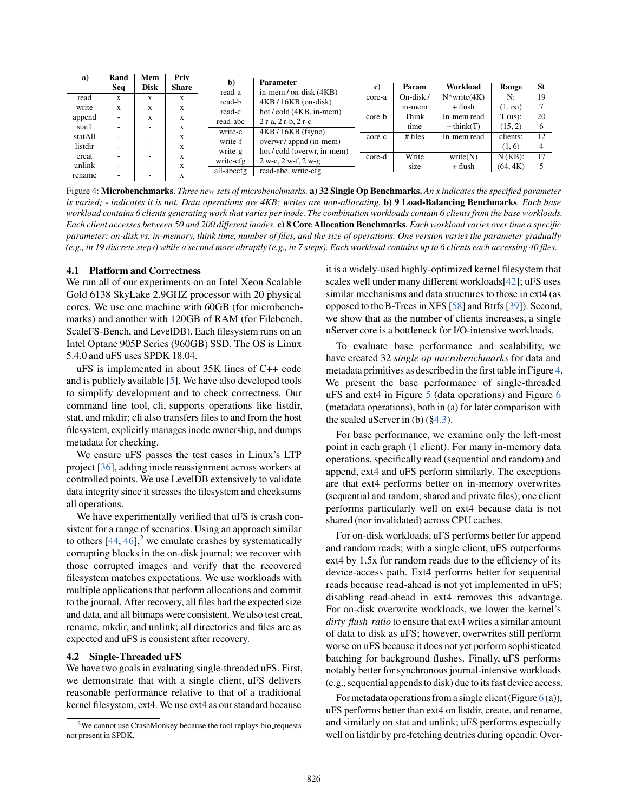<span id="page-7-0"></span>

| a)      | Rand | Mem         | Priv         | $\mathbf{b}$       | <b>Parameter</b>                                     |        |            |                    |               |           |
|---------|------|-------------|--------------|--------------------|------------------------------------------------------|--------|------------|--------------------|---------------|-----------|
|         | Seq  | <b>Disk</b> | <b>Share</b> |                    |                                                      | c)     | Param      | Workload           | Range         | <b>St</b> |
| read    | X    | X           | X            | read-a             | in-mem / on-disk $(4KB)$                             | core-a | $On-disk/$ | $N^*$ write $(4K)$ | N:            | 19        |
| write   | X    | X           | X            | read-b<br>read-c   | $4KB/16KB$ (on-disk)<br>hot/cold (4KB, in-mem)       |        | in-mem     | + flush            | $(1, \infty)$ |           |
| append  | -    | X           | X            | read-abc           | $2r-a$ , $2r-b$ , $2r-c$                             | core-b | Think      | In-mem read        | T (us):       | 20        |
| stat1   |      |             | X            |                    |                                                      |        | time       | $+$ think $(T)$    | (15, 2)       | 6         |
| statAll | -    |             | X            | write-e<br>write-f | $4KB/16KB$ (fsync)                                   | core-c | # files    | In-mem read        | clients:      | 12        |
| listdir |      |             | X            | write-g            | overwr / appnd (in-mem)<br>hot/cold (overwr, in-mem) |        |            |                    | (1, 6)        |           |
| creat   |      |             | X            | write-efg          | $2 w-e$ , $2 w-f$ , $2 w-g$                          | core-d | Write      | write(N)           | $N(KB)$ :     | 17        |
| unlink  | ۰    |             | X            |                    |                                                      |        | size       | + flush            | (64, 4K)      |           |
| rename  |      |             |              | all-abcefg         | read-abc, write-efg                                  |        |            |                    |               |           |

Figure 4: Microbenchmarks. *Three new sets of microbenchmarks.* a) 32 Single Op Benchmarks. *An x indicates the specified parameter is varied; - indicates it is not. Data operations are 4KB; writes are non-allocating.* b) 9 Load-Balancing Benchmarks*. Each base workload contains 6 clients generating work that varies per inode. The combination workloads contain 6 clients from the base workloads. Each client accesses between 50 and 200 different inodes.* c) 8 Core Allocation Benchmarks*. Each workload varies over time a specific parameter: on-disk vs. in-memory, think time, number of files, and the size of operations. One version varies the parameter gradually (e.g., in 19 discrete steps) while a second more abruptly (e.g., in 7 steps). Each workload contains up to 6 clients each accessing 40 files.*

### 4.1 Platform and Correctness

We run all of our experiments on an Intel Xeon Scalable Gold 6138 SkyLake 2.9GHZ processor with 20 physical cores. We use one machine with 60GB (for microbenchmarks) and another with 120GB of RAM (for Filebench, ScaleFS-Bench, and LevelDB). Each filesystem runs on an Intel Optane 905P Series (960GB) SSD. The OS is Linux 5.4.0 and uFS uses SPDK 18.04.

uFS is implemented in about 35K lines of C++ code and is publicly available [\[5\]](#page-14-17). We have also developed tools to simplify development and to check correctness. Our command line tool, cli, supports operations like listdir, stat, and mkdir; cli also transfers files to and from the host filesystem, explicitly manages inode ownership, and dumps metadata for checking.

We ensure uFS passes the test cases in Linux's LTP project [\[36\]](#page-15-21), adding inode reassignment across workers at controlled points. We use LevelDB extensively to validate data integrity since it stresses the filesystem and checksums all operations.

We have experimentally verified that uFS is crash consistent for a range of scenarios. Using an approach similar to others  $[44, 46]$  $[44, 46]$  $[44, 46]$ ,<sup>2</sup> we emulate crashes by systematically corrupting blocks in the on-disk journal; we recover with those corrupted images and verify that the recovered filesystem matches expectations. We use workloads with multiple applications that perform allocations and commit to the journal. After recovery, all files had the expected size and data, and all bitmaps were consistent. We also test creat, rename, mkdir, and unlink; all directories and files are as expected and uFS is consistent after recovery.

#### 4.2 Single-Threaded uFS

We have two goals in evaluating single-threaded uFS. First, we demonstrate that with a single client, uFS delivers reasonable performance relative to that of a traditional kernel filesystem, ext4. We use ext4 as our standard because

it is a widely-used highly-optimized kernel filesystem that scales well under many different workloads[\[42\]](#page-15-16); uFS uses similar mechanisms and data structures to those in ext4 (as opposed to the B-Trees in XFS [\[58\]](#page-15-24) and Btrfs [\[39\]](#page-15-25)). Second, we show that as the number of clients increases, a single uServer core is a bottleneck for I/O-intensive workloads.

To evaluate base performance and scalability, we have created 32 *single op microbenchmarks* for data and metadata primitives as described in the first table in Figure [4.](#page-7-0) We present the base performance of single-threaded uFS and ext4 in Figure [5](#page-8-0) (data operations) and Figure [6](#page-8-1) (metadata operations), both in (a) for later comparison with the scaled uServer in (b) ([§4.3\)](#page-8-2).

For base performance, we examine only the left-most point in each graph (1 client). For many in-memory data operations, specifically read (sequential and random) and append, ext4 and uFS perform similarly. The exceptions are that ext4 performs better on in-memory overwrites (sequential and random, shared and private files); one client performs particularly well on ext4 because data is not shared (nor invalidated) across CPU caches.

For on-disk workloads, uFS performs better for append and random reads; with a single client, uFS outperforms ext4 by 1.5x for random reads due to the efficiency of its device-access path. Ext4 performs better for sequential reads because read-ahead is not yet implemented in uFS; disabling read-ahead in ext4 removes this advantage. For on-disk overwrite workloads, we lower the kernel's *dirty flush ratio* to ensure that ext4 writes a similar amount of data to disk as uFS; however, overwrites still perform worse on uFS because it does not yet perform sophisticated batching for background flushes. Finally, uFS performs notably better for synchronous journal-intensive workloads (e.g., sequential appends to disk) due to its fast device access.

For metadata operations from a single client (Figure  $6$  (a)), uFS performs better than ext4 on listdir, create, and rename, and similarly on stat and unlink; uFS performs especially well on listdir by pre-fetching dentries during opendir. Over-

<sup>&</sup>lt;sup>2</sup>We cannot use CrashMonkey because the tool replays bio requests not present in SPDK.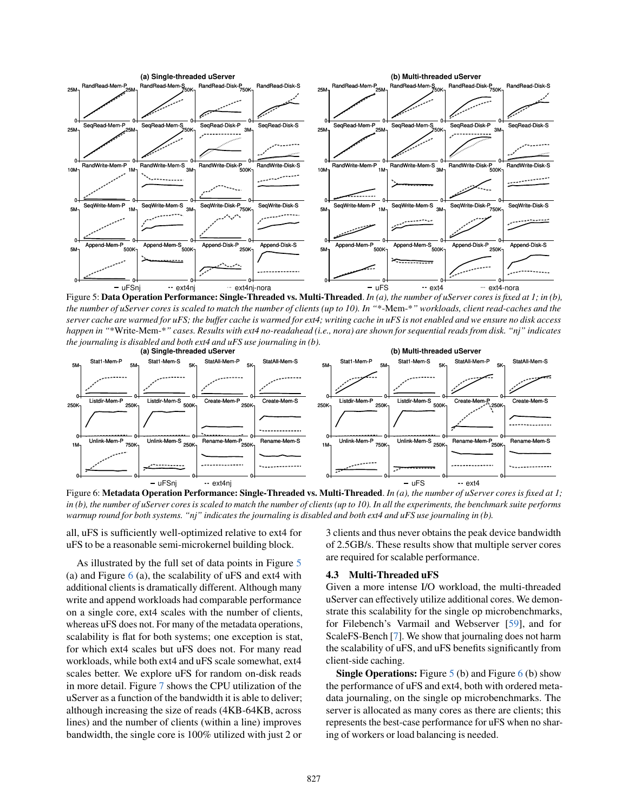<span id="page-8-0"></span>

Figure 5: Data Operation Performance: Single-Threaded vs. Multi-Threaded. *In (a), the number of uServer cores is fixed at 1; in (b), the number of uServer cores is scaled to match the number of clients (up to 10). In "*\*-Mem-\**" workloads, client read-caches and the server cache are warmed for uFS; the buffer cache is warmed for ext4; writing cache in uFS is not enabled and we ensure no disk access happen in "*\*Write-Mem-\**" cases. Results with ext4 no-readahead (i.e., nora) are shown for sequential reads from disk. "nj" indicates the journaling is disabled and both ext4 and uFS use journaling in (b).*

<span id="page-8-1"></span>

Figure 6: Metadata Operation Performance: Single-Threaded vs. Multi-Threaded. *In (a), the number of uServer cores is fixed at 1; in (b), the number of uServer cores is scaled to match the number of clients (up to 10). In all the experiments, the benchmark suite performs warmup round for both systems. "nj" indicates the journaling is disabled and both ext4 and uFS use journaling in (b).*

all, uFS is sufficiently well-optimized relative to ext4 for uFS to be a reasonable semi-microkernel building block.

As illustrated by the full set of data points in Figure [5](#page-8-0) (a) and Figure  $6$  (a), the scalability of uFS and ext4 with additional clients is dramatically different. Although many write and append workloads had comparable performance on a single core, ext4 scales with the number of clients, whereas uFS does not. For many of the metadata operations, scalability is flat for both systems; one exception is stat, for which ext4 scales but uFS does not. For many read workloads, while both ext4 and uFS scale somewhat, ext4 scales better. We explore uFS for random on-disk reads in more detail. Figure [7](#page-9-0) shows the CPU utilization of the uServer as a function of the bandwidth it is able to deliver; although increasing the size of reads (4KB-64KB, across lines) and the number of clients (within a line) improves bandwidth, the single core is 100% utilized with just 2 or

3 clients and thus never obtains the peak device bandwidth of 2.5GB/s. These results show that multiple server cores are required for scalable performance.

### <span id="page-8-2"></span>4.3 Multi-Threaded uFS

Given a more intense I/O workload, the multi-threaded uServer can effectively utilize additional cores. We demonstrate this scalability for the single op microbenchmarks, for Filebench's Varmail and Webserver [\[59\]](#page-15-26), and for ScaleFS-Bench [\[7\]](#page-14-18). We show that journaling does not harm the scalability of uFS, and uFS benefits significantly from client-side caching.

**Single Operations:** Figure  $5$  (b) and Figure  $6$  (b) show the performance of uFS and ext4, both with ordered metadata journaling, on the single op microbenchmarks. The server is allocated as many cores as there are clients; this represents the best-case performance for uFS when no sharing of workers or load balancing is needed.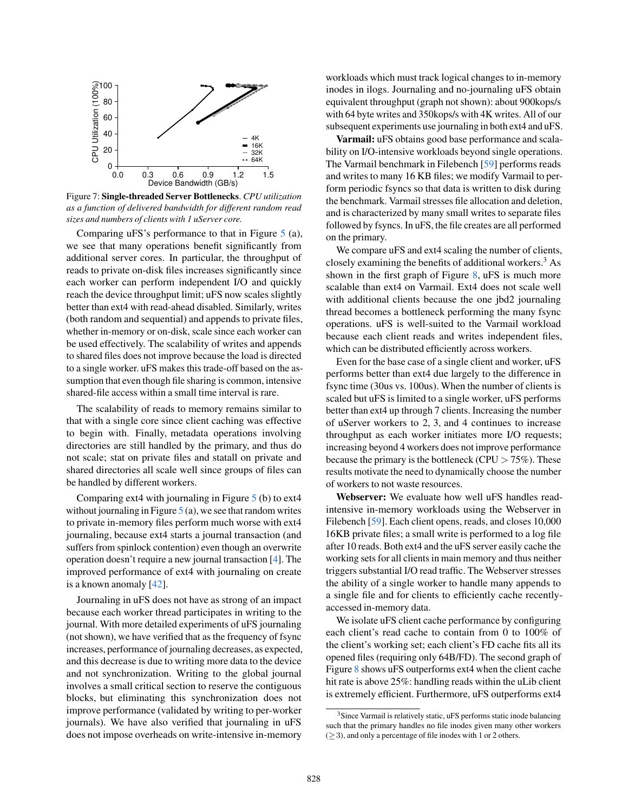<span id="page-9-0"></span>

Figure 7: Single-threaded Server Bottlenecks. *CPU utilization as a function of delivered bandwidth for different random read sizes and numbers of clients with 1 uServer core.*

Comparing uFS's performance to that in Figure [5](#page-8-0) (a), we see that many operations benefit significantly from additional server cores. In particular, the throughput of reads to private on-disk files increases significantly since each worker can perform independent I/O and quickly reach the device throughput limit; uFS now scales slightly better than ext4 with read-ahead disabled. Similarly, writes (both random and sequential) and appends to private files, whether in-memory or on-disk, scale since each worker can be used effectively. The scalability of writes and appends to shared files does not improve because the load is directed to a single worker. uFS makes this trade-off based on the assumption that even though file sharing is common, intensive shared-file access within a small time interval is rare.

The scalability of reads to memory remains similar to that with a single core since client caching was effective to begin with. Finally, metadata operations involving directories are still handled by the primary, and thus do not scale; stat on private files and statall on private and shared directories all scale well since groups of files can be handled by different workers.

Comparing ext4 with journaling in Figure [5](#page-8-0) (b) to ext4 without journaling in Figure  $5$  (a), we see that random writes to private in-memory files perform much worse with ext4 journaling, because ext4 starts a journal transaction (and suffers from spinlock contention) even though an overwrite operation doesn't require a new journal transaction [\[4\]](#page-14-19). The improved performance of ext4 with journaling on create is a known anomaly [\[42\]](#page-15-16).

Journaling in uFS does not have as strong of an impact because each worker thread participates in writing to the journal. With more detailed experiments of uFS journaling (not shown), we have verified that as the frequency of fsync increases, performance of journaling decreases, as expected, and this decrease is due to writing more data to the device and not synchronization. Writing to the global journal involves a small critical section to reserve the contiguous blocks, but eliminating this synchronization does not improve performance (validated by writing to per-worker journals). We have also verified that journaling in uFS does not impose overheads on write-intensive in-memory

workloads which must track logical changes to in-memory inodes in ilogs. Journaling and no-journaling uFS obtain equivalent throughput (graph not shown): about 900kops/s with 64 byte writes and 350kops/s with 4K writes. All of our subsequent experiments use journaling in both ext4 and uFS.

Varmail: uFS obtains good base performance and scalability on I/O-intensive workloads beyond single operations. The Varmail benchmark in Filebench [\[59\]](#page-15-26) performs reads and writes to many 16 KB files; we modify Varmail to perform periodic fsyncs so that data is written to disk during the benchmark. Varmail stresses file allocation and deletion, and is characterized by many small writes to separate files followed by fsyncs. In uFS, the file creates are all performed on the primary.

We compare uFS and ext4 scaling the number of clients, closely examining the benefits of additional workers.<sup>3</sup> As shown in the first graph of Figure  $8$ , uFS is much more scalable than ext4 on Varmail. Ext4 does not scale well with additional clients because the one jbd2 journaling thread becomes a bottleneck performing the many fsync operations. uFS is well-suited to the Varmail workload because each client reads and writes independent files, which can be distributed efficiently across workers.

Even for the base case of a single client and worker, uFS performs better than ext4 due largely to the difference in fsync time (30us vs. 100us). When the number of clients is scaled but uFS is limited to a single worker, uFS performs better than ext4 up through 7 clients. Increasing the number of uServer workers to 2, 3, and 4 continues to increase throughput as each worker initiates more I/O requests; increasing beyond 4 workers does not improve performance because the primary is the bottleneck (CPU  $> 75\%$ ). These results motivate the need to dynamically choose the number of workers to not waste resources.

Webserver: We evaluate how well uFS handles readintensive in-memory workloads using the Webserver in Filebench [\[59\]](#page-15-26). Each client opens, reads, and closes 10,000 16KB private files; a small write is performed to a log file after 10 reads. Both ext4 and the uFS server easily cache the working sets for all clients in main memory and thus neither triggers substantial I/O read traffic. The Webserver stresses the ability of a single worker to handle many appends to a single file and for clients to efficiently cache recentlyaccessed in-memory data.

We isolate uFS client cache performance by configuring each client's read cache to contain from 0 to 100% of the client's working set; each client's FD cache fits all its opened files (requiring only 64B/FD). The second graph of Figure [8](#page-10-0) shows uFS outperforms ext4 when the client cache hit rate is above 25%: handling reads within the uLib client is extremely efficient. Furthermore, uFS outperforms ext4

<sup>&</sup>lt;sup>3</sup>Since Varmail is relatively static, uFS performs static inode balancing such that the primary handles no file inodes given many other workers  $(\geq 3)$ , and only a percentage of file inodes with 1 or 2 others.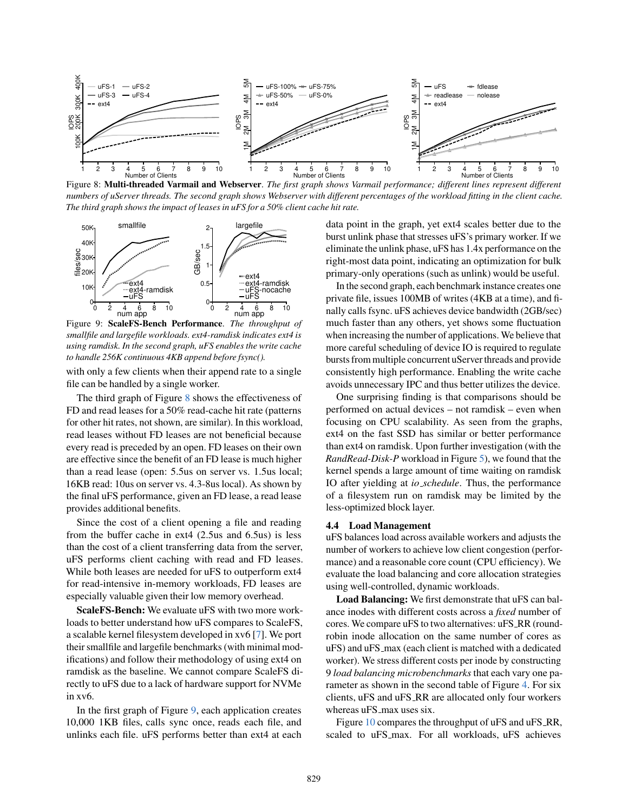<span id="page-10-0"></span>

Figure 8: Multi-threaded Varmail and Webserver. *The first graph shows Varmail performance; different lines represent different numbers of uServer threads. The second graph shows Webserver with different percentages of the workload fitting in the client cache. The third graph shows the impact of leases in uFS for a 50% client cache hit rate.*

<span id="page-10-1"></span>

Figure 9: ScaleFS-Bench Performance. *The throughput of smallfile and largefile workloads. ext4-ramdisk indicates ext4 is using ramdisk. In the second graph, uFS enables the write cache to handle 256K continuous 4KB append before fsync().*

with only a few clients when their append rate to a single file can be handled by a single worker.

The third graph of Figure [8](#page-10-0) shows the effectiveness of FD and read leases for a 50% read-cache hit rate (patterns for other hit rates, not shown, are similar). In this workload, read leases without FD leases are not beneficial because every read is preceded by an open. FD leases on their own are effective since the benefit of an FD lease is much higher than a read lease (open: 5.5us on server vs. 1.5us local; 16KB read: 10us on server vs. 4.3-8us local). As shown by the final uFS performance, given an FD lease, a read lease provides additional benefits.

Since the cost of a client opening a file and reading from the buffer cache in ext4 (2.5us and 6.5us) is less than the cost of a client transferring data from the server, uFS performs client caching with read and FD leases. While both leases are needed for uFS to outperform ext4 for read-intensive in-memory workloads, FD leases are especially valuable given their low memory overhead.

ScaleFS-Bench: We evaluate uFS with two more workloads to better understand how uFS compares to ScaleFS, a scalable kernel filesystem developed in xv6 [\[7\]](#page-14-18). We port their smallfile and largefile benchmarks (with minimal modifications) and follow their methodology of using ext4 on ramdisk as the baseline. We cannot compare ScaleFS directly to uFS due to a lack of hardware support for NVMe in xv6.

In the first graph of Figure [9,](#page-10-1) each application creates 10,000 1KB files, calls sync once, reads each file, and unlinks each file. uFS performs better than ext4 at each

data point in the graph, yet ext4 scales better due to the burst unlink phase that stresses uFS's primary worker. If we eliminate the unlink phase, uFS has 1.4x performance on the right-most data point, indicating an optimization for bulk primary-only operations (such as unlink) would be useful.

In the second graph, each benchmark instance creates one private file, issues 100MB of writes (4KB at a time), and finally calls fsync. uFS achieves device bandwidth (2GB/sec) much faster than any others, yet shows some fluctuation when increasing the number of applications. We believe that more careful scheduling of device IO is required to regulate bursts from multiple concurrent uServer threads and provide consistently high performance. Enabling the write cache avoids unnecessary IPC and thus better utilizes the device.

One surprising finding is that comparisons should be performed on actual devices – not ramdisk – even when focusing on CPU scalability. As seen from the graphs, ext4 on the fast SSD has similar or better performance than ext4 on ramdisk. Upon further investigation (with the *RandRead-Disk-P* workload in Figure [5\)](#page-8-0), we found that the kernel spends a large amount of time waiting on ramdisk IO after yielding at *io schedule*. Thus, the performance of a filesystem run on ramdisk may be limited by the less-optimized block layer.

### 4.4 Load Management

uFS balances load across available workers and adjusts the number of workers to achieve low client congestion (performance) and a reasonable core count (CPU efficiency). We evaluate the load balancing and core allocation strategies using well-controlled, dynamic workloads.

Load Balancing: We first demonstrate that uFS can balance inodes with different costs across a *fixed* number of cores. We compare uFS to two alternatives: uFS\_RR (roundrobin inode allocation on the same number of cores as uFS) and uFS max (each client is matched with a dedicated worker). We stress different costs per inode by constructing 9 *load balancing microbenchmarks* that each vary one parameter as shown in the second table of Figure [4.](#page-7-0) For six clients, uFS and uFS RR are allocated only four workers whereas uFS\_max uses six.

Figure [10](#page-11-1) compares the throughput of uFS and uFS\_RR, scaled to uFS max. For all workloads, uFS achieves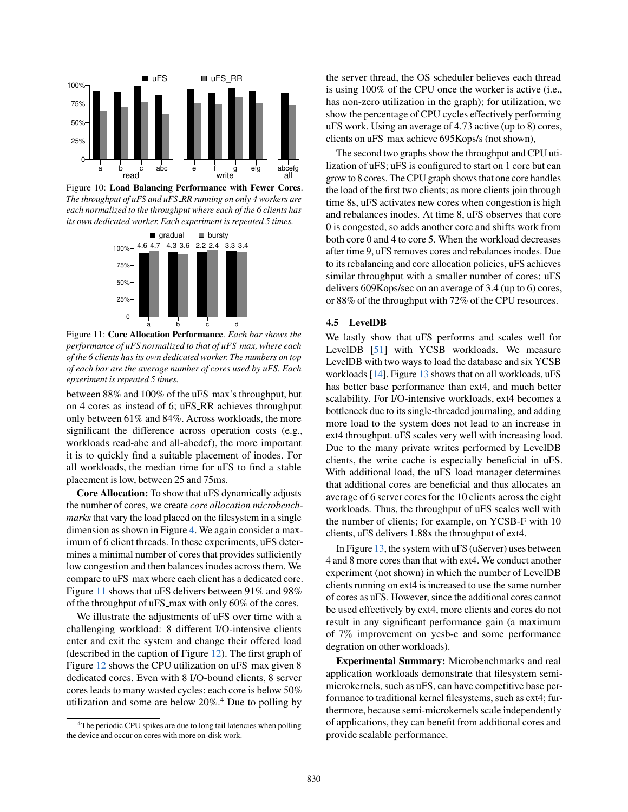<span id="page-11-1"></span>

<span id="page-11-2"></span>Figure 10: Load Balancing Performance with Fewer Cores. *The throughput of uFS and uFS RR running on only 4 workers are each normalized to the throughput where each of the 6 clients has its own dedicated worker. Each experiment is repeated 5 times.*



Figure 11: Core Allocation Performance. *Each bar shows the performance of uFS normalized to that of uFS max, where each of the 6 clients has its own dedicated worker. The numbers on top of each bar are the average number of cores used by uFS. Each epxeriment is repeated 5 times.*

between 88% and 100% of the uFS\_max's throughput, but on 4 cores as instead of 6; uFS RR achieves throughput only between 61% and 84%. Across workloads, the more significant the difference across operation costs (e.g., workloads read-abc and all-abcdef), the more important it is to quickly find a suitable placement of inodes. For all workloads, the median time for uFS to find a stable placement is low, between 25 and 75ms.

Core Allocation: To show that uFS dynamically adjusts the number of cores, we create *core allocation microbenchmarks* that vary the load placed on the filesystem in a single dimension as shown in Figure [4.](#page-7-0) We again consider a maximum of 6 client threads. In these experiments, uFS determines a minimal number of cores that provides sufficiently low congestion and then balances inodes across them. We compare to uFS\_max where each client has a dedicated core. Figure [11](#page-11-2) shows that uFS delivers between 91% and 98% of the throughput of uFS max with only 60% of the cores.

We illustrate the adjustments of uFS over time with a challenging workload: 8 different I/O-intensive clients enter and exit the system and change their offered load (described in the caption of Figure [12\)](#page-12-0). The first graph of Figure [12](#page-12-0) shows the CPU utilization on uFS\_max given 8 dedicated cores. Even with 8 I/O-bound clients, 8 server cores leads to many wasted cycles: each core is below 50% utilization and some are below  $20\%$ <sup>4</sup>. Due to polling by

the server thread, the OS scheduler believes each thread is using 100% of the CPU once the worker is active (i.e., has non-zero utilization in the graph); for utilization, we show the percentage of CPU cycles effectively performing uFS work. Using an average of 4.73 active (up to 8) cores, clients on uFS\_max achieve 695Kops/s (not shown),

The second two graphs show the throughput and CPU utilization of uFS; uFS is configured to start on 1 core but can grow to 8 cores. The CPU graph shows that one core handles the load of the first two clients; as more clients join through time 8s, uFS activates new cores when congestion is high and rebalances inodes. At time 8, uFS observes that core 0 is congested, so adds another core and shifts work from both core 0 and 4 to core 5. When the workload decreases after time 9, uFS removes cores and rebalances inodes. Due to its rebalancing and core allocation policies, uFS achieves similar throughput with a smaller number of cores; uFS delivers 609Kops/sec on an average of 3.4 (up to 6) cores, or 88% of the throughput with 72% of the CPU resources.

### 4.5 LevelDB

We lastly show that uFS performs and scales well for LevelDB [\[51\]](#page-15-27) with YCSB workloads. We measure LevelDB with two ways to load the database and six YCSB workloads [\[14\]](#page-14-20). Figure [13](#page-12-1) shows that on all workloads, uFS has better base performance than ext4, and much better scalability. For I/O-intensive workloads, ext4 becomes a bottleneck due to its single-threaded journaling, and adding more load to the system does not lead to an increase in ext4 throughput. uFS scales very well with increasing load. Due to the many private writes performed by LevelDB clients, the write cache is especially beneficial in uFS. With additional load, the uFS load manager determines that additional cores are beneficial and thus allocates an average of 6 server cores for the 10 clients across the eight workloads. Thus, the throughput of uFS scales well with the number of clients; for example, on YCSB-F with 10 clients, uFS delivers 1.88x the throughput of ext4.

In Figure [13,](#page-12-1) the system with uFS (uServer) uses between 4 and 8 more cores than that with ext4. We conduct another experiment (not shown) in which the number of LevelDB clients running on ext4 is increased to use the same number of cores as uFS. However, since the additional cores cannot be used effectively by ext4, more clients and cores do not result in any significant performance gain (a maximum of 7% improvement on ycsb-e and some performance degration on other workloads).

<span id="page-11-0"></span>Experimental Summary: Microbenchmarks and real application workloads demonstrate that filesystem semimicrokernels, such as uFS, can have competitive base performance to traditional kernel filesystems, such as ext4; furthermore, because semi-microkernels scale independently of applications, they can benefit from additional cores and provide scalable performance.

<sup>&</sup>lt;sup>4</sup>The periodic CPU spikes are due to long tail latencies when polling the device and occur on cores with more on-disk work.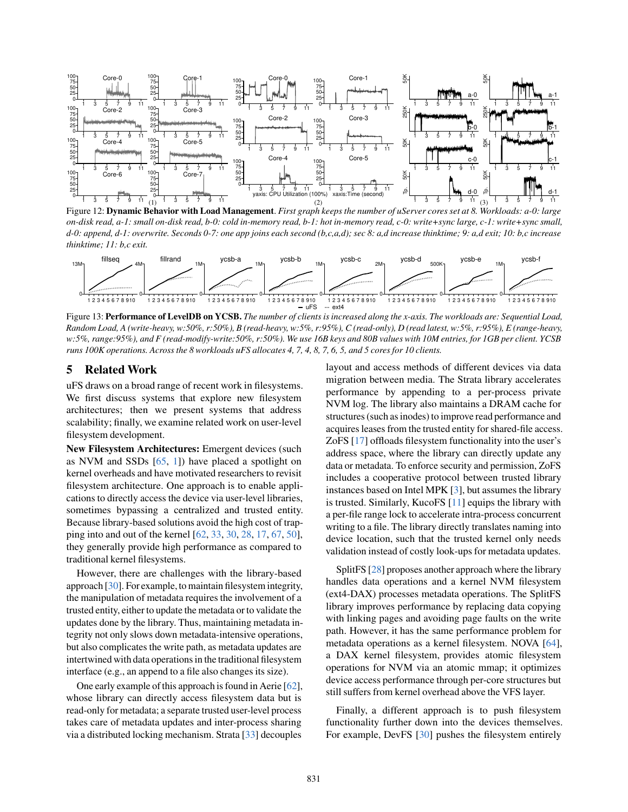<span id="page-12-0"></span>

Figure 12: Dynamic Behavior with Load Management. *First graph keeps the number of uServer cores set at 8. Workloads: a-0: large on-disk read, a-1: small on-disk read, b-0: cold in-memory read, b-1: hot in-memory read, c-0: write+sync large, c-1: write+sync small, d-0: append, d-1: overwrite. Seconds 0-7: one app joins each second (b,c,a,d); sec 8: a,d increase thinktime; 9: a,d exit; 10: b,c increase thinktime; 11: b,c exit.*

<span id="page-12-1"></span>

Figure 13: Performance of LevelDB on YCSB. *The number of clients is increased along the x-axis. The workloads are: Sequential Load, Random Load, A (write-heavy, w:50%, r:50%), B (read-heavy, w:5%, r:95%), C (read-only), D (read latest, w:5%, r:95%), E (range-heavy, w:5%, range:95%), and F (read-modify-write:50%, r:50%). We use 16B keys and 80B values with 10M entries, for 1GB per client. YCSB runs 100K operations. Across the 8 workloads uFS allocates 4, 7, 4, 8, 7, 6, 5, and 5 cores for 10 clients.*

## 5 Related Work

uFS draws on a broad range of recent work in filesystems. We first discuss systems that explore new filesystem architectures; then we present systems that address scalability; finally, we examine related work on user-level filesystem development.

New Filesystem Architectures: Emergent devices (such as NVM and SSDs  $[65, 1]$  $[65, 1]$  $[65, 1]$ ) have placed a spotlight on kernel overheads and have motivated researchers to revisit filesystem architecture. One approach is to enable applications to directly access the device via user-level libraries, sometimes bypassing a centralized and trusted entity. Because library-based solutions avoid the high cost of trapping into and out of the kernel [\[62,](#page-15-28) [33,](#page-15-13) [30,](#page-14-7) [28,](#page-14-8) [17,](#page-14-6) [67,](#page-16-2) [50\]](#page-15-29), they generally provide high performance as compared to traditional kernel filesystems.

However, there are challenges with the library-based approach [\[30\]](#page-14-7). For example, to maintain filesystem integrity, the manipulation of metadata requires the involvement of a trusted entity, either to update the metadata or to validate the updates done by the library. Thus, maintaining metadata integrity not only slows down metadata-intensive operations, but also complicates the write path, as metadata updates are intertwined with data operations in the traditional filesystem interface (e.g., an append to a file also changes its size).

One early example of this approach is found in Aerie [\[62\]](#page-15-28), whose library can directly access filesystem data but is read-only for metadata; a separate trusted user-level process takes care of metadata updates and inter-process sharing via a distributed locking mechanism. Strata [\[33\]](#page-15-13) decouples

layout and access methods of different devices via data migration between media. The Strata library accelerates performance by appending to a per-process private NVM log. The library also maintains a DRAM cache for structures (such as inodes) to improve read performance and acquires leases from the trusted entity for shared-file access. ZoFS [\[17\]](#page-14-6) offloads filesystem functionality into the user's address space, where the library can directly update any data or metadata. To enforce security and permission, ZoFS includes a cooperative protocol between trusted library instances based on Intel MPK [\[3\]](#page-14-22), but assumes the library is trusted. Similarly, KucoFS [\[11\]](#page-14-23) equips the library with a per-file range lock to accelerate intra-process concurrent writing to a file. The library directly translates naming into device location, such that the trusted kernel only needs validation instead of costly look-ups for metadata updates.

SplitFS [\[28\]](#page-14-8) proposes another approach where the library handles data operations and a kernel NVM filesystem (ext4-DAX) processes metadata operations. The SplitFS library improves performance by replacing data copying with linking pages and avoiding page faults on the write path. However, it has the same performance problem for metadata operations as a kernel filesystem. NOVA [\[64\]](#page-16-3), a DAX kernel filesystem, provides atomic filesystem operations for NVM via an atomic mmap; it optimizes device access performance through per-core structures but still suffers from kernel overhead above the VFS layer.

Finally, a different approach is to push filesystem functionality further down into the devices themselves. For example, DevFS [\[30\]](#page-14-7) pushes the filesystem entirely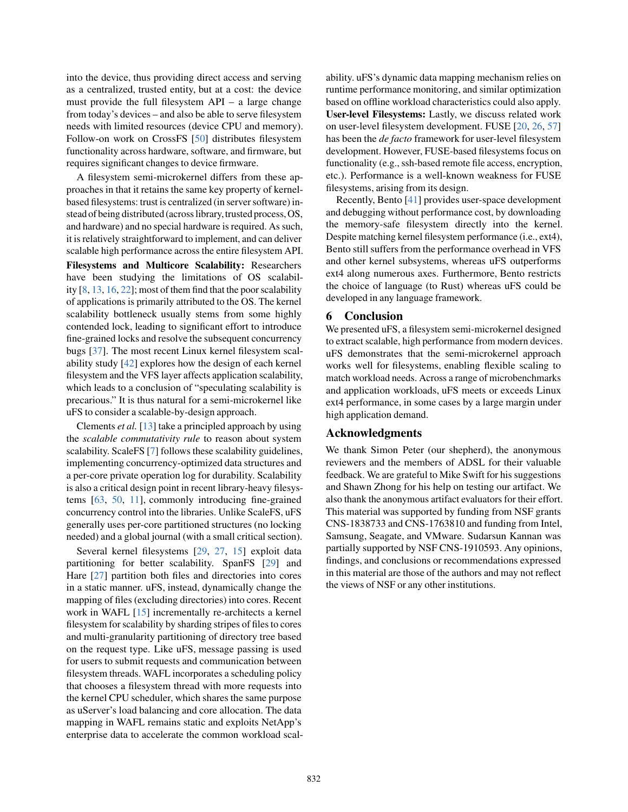into the device, thus providing direct access and serving as a centralized, trusted entity, but at a cost: the device must provide the full filesystem API – a large change from today's devices – and also be able to serve filesystem needs with limited resources (device CPU and memory). Follow-on work on CrossFS [\[50\]](#page-15-29) distributes filesystem functionality across hardware, software, and firmware, but requires significant changes to device firmware.

A filesystem semi-microkernel differs from these approaches in that it retains the same key property of kernelbased filesystems: trust is centralized (in server software) instead of being distributed (across library, trusted process, OS, and hardware) and no special hardware is required. As such, it is relatively straightforward to implement, and can deliver scalable high performance across the entire filesystem API. Filesystems and Multicore Scalability: Researchers have been studying the limitations of OS scalability [\[8,](#page-14-24) [13,](#page-14-10) [16,](#page-14-25) [22\]](#page-14-26); most of them find that the poor scalability of applications is primarily attributed to the OS. The kernel scalability bottleneck usually stems from some highly contended lock, leading to significant effort to introduce fine-grained locks and resolve the subsequent concurrency bugs [\[37\]](#page-15-5). The most recent Linux kernel filesystem scalability study [\[42\]](#page-15-16) explores how the design of each kernel filesystem and the VFS layer affects application scalability, which leads to a conclusion of "speculating scalability is precarious." It is thus natural for a semi-microkernel like uFS to consider a scalable-by-design approach.

Clements *et al.* [\[13\]](#page-14-10) take a principled approach by using the *scalable commutativity rule* to reason about system scalability. ScaleFS [\[7\]](#page-14-18) follows these scalability guidelines, implementing concurrency-optimized data structures and a per-core private operation log for durability. Scalability is also a critical design point in recent library-heavy filesystems [\[63,](#page-16-4) [50,](#page-15-29) [11\]](#page-14-23), commonly introducing fine-grained concurrency control into the libraries. Unlike ScaleFS, uFS generally uses per-core partitioned structures (no locking needed) and a global journal (with a small critical section).

Several kernel filesystems [\[29,](#page-14-12) [27,](#page-14-11) [15\]](#page-14-27) exploit data partitioning for better scalability. SpanFS [\[29\]](#page-14-12) and Hare [\[27\]](#page-14-11) partition both files and directories into cores in a static manner. uFS, instead, dynamically change the mapping of files (excluding directories) into cores. Recent work in WAFL [\[15\]](#page-14-27) incrementally re-architects a kernel filesystem for scalability by sharding stripes of files to cores and multi-granularity partitioning of directory tree based on the request type. Like uFS, message passing is used for users to submit requests and communication between filesystem threads. WAFL incorporates a scheduling policy that chooses a filesystem thread with more requests into the kernel CPU scheduler, which shares the same purpose as uServer's load balancing and core allocation. The data mapping in WAFL remains static and exploits NetApp's enterprise data to accelerate the common workload scalability. uFS's dynamic data mapping mechanism relies on runtime performance monitoring, and similar optimization based on offline workload characteristics could also apply. User-level Filesystems: Lastly, we discuss related work on user-level filesystem development. FUSE [\[20,](#page-14-28) [26,](#page-14-29) [57\]](#page-15-30) has been the *de facto* framework for user-level filesystem development. However, FUSE-based filesystems focus on functionality (e.g., ssh-based remote file access, encryption, etc.). Performance is a well-known weakness for FUSE filesystems, arising from its design.

Recently, Bento [\[41\]](#page-15-3) provides user-space development and debugging without performance cost, by downloading the memory-safe filesystem directly into the kernel. Despite matching kernel filesystem performance (i.e., ext4), Bento still suffers from the performance overhead in VFS and other kernel subsystems, whereas uFS outperforms ext4 along numerous axes. Furthermore, Bento restricts the choice of language (to Rust) whereas uFS could be developed in any language framework.

## <span id="page-13-0"></span>6 Conclusion

We presented uFS, a filesystem semi-microkernel designed to extract scalable, high performance from modern devices. uFS demonstrates that the semi-microkernel approach works well for filesystems, enabling flexible scaling to match workload needs. Across a range of microbenchmarks and application workloads, uFS meets or exceeds Linux ext4 performance, in some cases by a large margin under high application demand.

### Acknowledgments

We thank Simon Peter (our shepherd), the anonymous reviewers and the members of ADSL for their valuable feedback. We are grateful to Mike Swift for his suggestions and Shawn Zhong for his help on testing our artifact. We also thank the anonymous artifact evaluators for their effort. This material was supported by funding from NSF grants CNS-1838733 and CNS-1763810 and funding from Intel, Samsung, Seagate, and VMware. Sudarsun Kannan was partially supported by NSF CNS-1910593. Any opinions, findings, and conclusions or recommendations expressed in this material are those of the authors and may not reflect the views of NSF or any other institutions.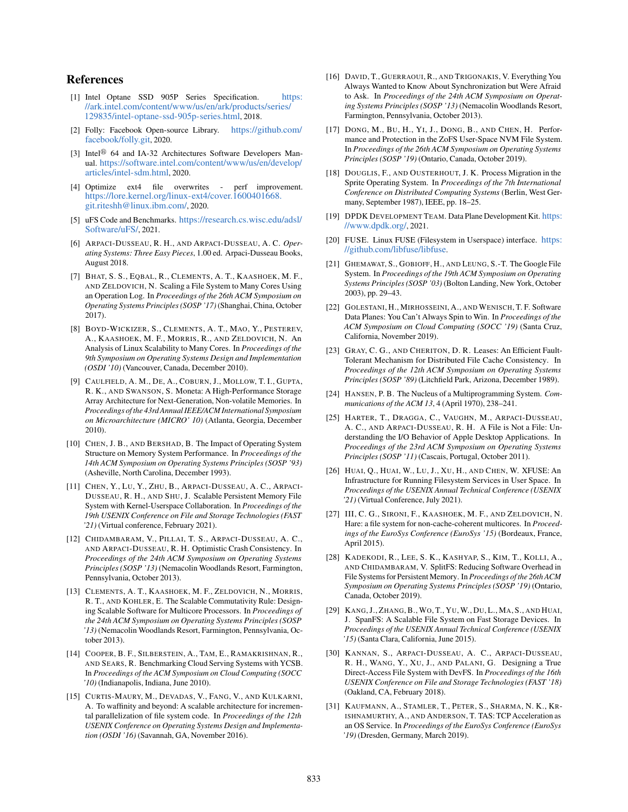# **References**

- <span id="page-14-21"></span>[1] Intel Optane SSD 905P Series Specification. [https:](https://ark.intel.com/content/www/us/en/ark/products/series/129835/intel-optane-ssd-905p-series.html) [//ark.intel.com/content/www/us/en/ark/products/series/](https://ark.intel.com/content/www/us/en/ark/products/series/129835/intel-optane-ssd-905p-series.html) [129835/intel-optane-ssd-905p-series.html](https://ark.intel.com/content/www/us/en/ark/products/series/129835/intel-optane-ssd-905p-series.html), 2018.
- <span id="page-14-13"></span>[2] Folly: Facebook Open-source Library. [https://github.com/](https://github.com/facebook/folly.git) [facebook/folly.git](https://github.com/facebook/folly.git), 2020.
- <span id="page-14-22"></span>[3] Intel<sup>®</sup> 64 and IA-32 Architectures Software Developers Manual. [https://software.intel.com/content/www/us/en/develop/](https://software.intel.com/content/www/us/en/develop/articles/intel-sdm.html) [articles/intel-sdm.html](https://software.intel.com/content/www/us/en/develop/articles/intel-sdm.html), 2020.
- <span id="page-14-19"></span>[4] Optimize ext4 file overwrites - perf improvement. [https://lore.kernel.org/linux-ext4/cover.1600401668.](https://lore.kernel.org/linux-ext4/cover.1600401668.git.riteshh@linux.ibm.com/) [git.riteshh@linux.ibm.com/](https://lore.kernel.org/linux-ext4/cover.1600401668.git.riteshh@linux.ibm.com/), 2020.
- <span id="page-14-17"></span>[5] uFS Code and Benchmarks. [https://research.cs.wisc.edu/adsl/](https://research.cs.wisc.edu/adsl/Software/uFS/) [Software/uFS/](https://research.cs.wisc.edu/adsl/Software/uFS/), 2021.
- [6] ARPACI-DUSSEAU, R. H., AND ARPACI-DUSSEAU, A. C. *Operating Systems: Three Easy Pieces*, 1.00 ed. Arpaci-Dusseau Books, August 2018.
- <span id="page-14-18"></span>[7] BHAT, S. S., EQBAL, R., CLEMENTS, A. T., KAASHOEK, M. F., AND ZELDOVICH, N. Scaling a File System to Many Cores Using an Operation Log. In *Proceedings of the 26th ACM Symposium on Operating Systems Principles (SOSP '17)* (Shanghai, China, October 2017).
- <span id="page-14-24"></span>[8] BOYD-WICKIZER, S., CLEMENTS, A. T., MAO, Y., PESTEREV, A., KAASHOEK, M. F., MORRIS, R., AND ZELDOVICH, N. An Analysis of Linux Scalability to Many Cores. In *Proceedings of the 9th Symposium on Operating Systems Design and Implementation (OSDI '10)* (Vancouver, Canada, December 2010).
- <span id="page-14-1"></span>[9] CAULFIELD, A. M., DE, A., COBURN, J., MOLLOW, T. I., GUPTA, R. K., AND SWANSON, S. Moneta: A High-Performance Storage Array Architecture for Next-Generation, Non-volatile Memories. In *Proceedings ofthe 43rd Annual IEEE/ACM International Symposium on Microarchitecture (MICRO' 10)* (Atlanta, Georgia, December 2010).
- <span id="page-14-5"></span>[10] CHEN, J. B., AND BERSHAD, B. The Impact of Operating System Structure on Memory System Performance. In *Proceedings of the 14th ACM Symposium on Operating Systems Principles (SOSP '93)* (Asheville, North Carolina, December 1993).
- <span id="page-14-23"></span>[11] CHEN, Y., LU, Y., ZHU, B., ARPACI-DUSSEAU, A. C., ARPACI-DUSSEAU, R. H., AND SHU, J. Scalable Persistent Memory File System with Kernel-Userspace Collaboration. In *Proceedings of the 19th USENIX Conference on File and Storage Technologies (FAST '21)* (Virtual conference, February 2021).
- <span id="page-14-15"></span>[12] CHIDAMBARAM, V., PILLAI, T. S., ARPACI-DUSSEAU, A. C., AND ARPACI-DUSSEAU, R. H. Optimistic Crash Consistency. In *Proceedings of the 24th ACM Symposium on Operating Systems Principles (SOSP '13)* (Nemacolin Woodlands Resort, Farmington, Pennsylvania, October 2013).
- <span id="page-14-10"></span>[13] CLEMENTS, A. T., KAASHOEK, M. F., ZELDOVICH, N., MORRIS, R. T., AND KOHLER, E. The Scalable Commutativity Rule: Designing Scalable Software for Multicore Processors. In *Proceedings of the 24th ACM Symposium on Operating Systems Principles (SOSP '13)* (Nemacolin Woodlands Resort, Farmington, Pennsylvania, October 2013).
- <span id="page-14-20"></span>[14] COOPER, B. F., SILBERSTEIN, A., TAM, E., RAMAKRISHNAN, R., AND SEARS, R. Benchmarking Cloud Serving Systems with YCSB. In *Proceedings of the ACM Symposium on Cloud Computing (SOCC '10)* (Indianapolis, Indiana, June 2010).
- <span id="page-14-27"></span>[15] CURTIS-MAURY, M., DEVADAS, V., FANG, V., AND KULKARNI, A. To waffinity and beyond: A scalable architecture for incremental parallelization of file system code. In *Proceedings of the 12th USENIX Conference on Operating Systems Design and Implementation (OSDI '16)* (Savannah, GA, November 2016).
- <span id="page-14-25"></span>[16] DAVID, T., GUERRAOUI, R., AND TRIGONAKIS, V. Everything You Always Wanted to Know About Synchronization but Were Afraid to Ask. In *Proceedings of the 24th ACM Symposium on Operating Systems Principles (SOSP '13)* (Nemacolin Woodlands Resort, Farmington, Pennsylvania, October 2013).
- <span id="page-14-6"></span>[17] DONG, M., BU, H., YI, J., DONG, B., AND CHEN, H. Performance and Protection in the ZoFS User-Space NVM File System. In *Proceedings of the 26th ACM Symposium on Operating Systems Principles (SOSP '19)* (Ontario, Canada, October 2019).
- <span id="page-14-14"></span>[18] DOUGLIS, F., AND OUSTERHOUT, J. K. Process Migration in the Sprite Operating System. In *Proceedings of the 7th International Conference on Distributed Computing Systems* (Berlin, West Germany, September 1987), IEEE, pp. 18–25.
- <span id="page-14-9"></span>[19] DPDK DEVELOPMENT TEAM. Data Plane Development Kit. [https:](https://www.dpdk.org/) [//www.dpdk.org/](https://www.dpdk.org/), 2021.
- <span id="page-14-28"></span>[20] FUSE. Linux FUSE (Filesystem in Userspace) interface. [https:](https://github.com/libfuse/libfuse) [//github.com/libfuse/libfuse](https://github.com/libfuse/libfuse).
- <span id="page-14-2"></span>[21] GHEMAWAT, S., GOBIOFF, H., AND LEUNG, S.-T. The Google File System. In *Proceedings of the 19th ACM Symposium on Operating Systems Principles (SOSP '03)* (Bolton Landing, New York, October 2003), pp. 29–43.
- <span id="page-14-26"></span>[22] GOLESTANI, H., MIRHOSSEINI, A., AND WENISCH, T. F. Software Data Planes: You Can't Always Spin to Win. In *Proceedings of the ACM Symposium on Cloud Computing (SOCC '19)* (Santa Cruz, California, November 2019).
- <span id="page-14-3"></span>[23] GRAY, C. G., AND CHERITON, D. R. Leases: An Efficient Fault-Tolerant Mechanism for Distributed File Cache Consistency. In *Proceedings of the 12th ACM Symposium on Operating Systems Principles (SOSP '89)* (Litchfield Park, Arizona, December 1989).
- <span id="page-14-4"></span>[24] HANSEN, P. B. The Nucleus of a Multiprogramming System. *Communications of the ACM 13*, 4 (April 1970), 238–241.
- <span id="page-14-16"></span>[25] HARTER, T., DRAGGA, C., VAUGHN, M., ARPACI-DUSSEAU, A. C., AND ARPACI-DUSSEAU, R. H. A File is Not a File: Understanding the I/O Behavior of Apple Desktop Applications. In *Proceedings of the 23rd ACM Symposium on Operating Systems Principles (SOSP '11)* (Cascais, Portugal, October 2011).
- <span id="page-14-29"></span>[26] HUAI, Q., HUAI, W., LU, J., XU, H., AND CHEN, W. XFUSE: An Infrastructure for Running Filesystem Services in User Space. In *Proceedings of the USENIX Annual Technical Conference (USENIX '21)* (Virtual Conference, July 2021).
- <span id="page-14-11"></span>[27] III, C. G., SIRONI, F., KAASHOEK, M. F., AND ZELDOVICH, N. Hare: a file system for non-cache-coherent multicores. In *Proceedings of the EuroSys Conference (EuroSys '15)* (Bordeaux, France, April 2015).
- <span id="page-14-8"></span>[28] KADEKODI, R., LEE, S. K., KASHYAP, S., KIM, T., KOLLI, A., AND CHIDAMBARAM, V. SplitFS: Reducing Software Overhead in File Systems for Persistent Memory. In *Proceedings of the 26th ACM Symposium on Operating Systems Principles (SOSP '19)* (Ontario, Canada, October 2019).
- <span id="page-14-12"></span>[29] KANG, J., ZHANG, B., WO, T., YU, W., DU, L., MA, S., AND HUAI, J. SpanFS: A Scalable File System on Fast Storage Devices. In *Proceedings of the USENIX Annual Technical Conference (USENIX '15)* (Santa Clara, California, June 2015).
- <span id="page-14-7"></span>[30] KANNAN, S., ARPACI-DUSSEAU, A. C., ARPACI-DUSSEAU, R. H., WANG, Y., XU, J., AND PALANI, G. Designing a True Direct-Access File System with DevFS. In *Proceedings of the 16th USENIX Conference on File and Storage Technologies (FAST '18)* (Oakland, CA, February 2018).
- <span id="page-14-0"></span>[31] KAUFMANN, A., STAMLER, T., PETER, S., SHARMA, N. K., KR-ISHNAMURTHY, A., AND ANDERSON, T. TAS: TCP Acceleration as an OS Service. In *Proceedings of the EuroSys Conference (EuroSys '19)* (Dresden, Germany, March 2019).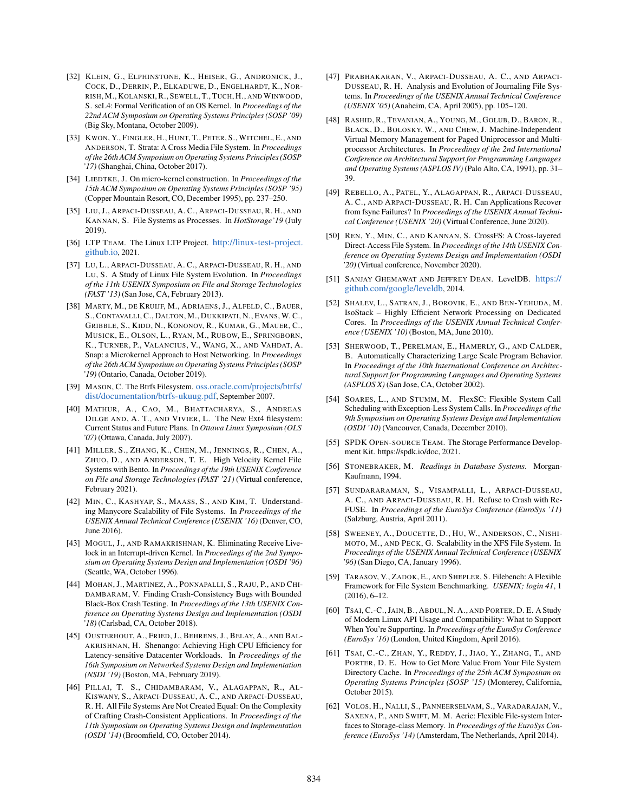- <span id="page-15-12"></span>[32] KLEIN, G., ELPHINSTONE, K., HEISER, G., ANDRONICK, J., COCK, D., DERRIN, P., ELKADUWE, D., ENGELHARDT, K., NOR-RISH, M., KOLANSKI, R., SEWELL, T., TUCH, H., AND WINWOOD, S. seL4: Formal Verification of an OS Kernel. In *Proceedings of the 22nd ACM Symposium on Operating Systems Principles (SOSP '09)* (Big Sky, Montana, October 2009).
- <span id="page-15-13"></span>[33] KWON, Y., FINGLER, H., HUNT, T., PETER, S., WITCHEL, E., AND ANDERSON, T. Strata: A Cross Media File System. In *Proceedings of the 26th ACM Symposium on Operating Systems Principles (SOSP '17)* (Shanghai, China, October 2017).
- <span id="page-15-11"></span>[34] LIEDTKE, J. On micro-kernel construction. In *Proceedings of the 15th ACM Symposium on Operating Systems Principles (SOSP '95)* (Copper Mountain Resort, CO, December 1995), pp. 237–250.
- <span id="page-15-6"></span>[35] LIU, J., ARPACI-DUSSEAU, A. C., ARPACI-DUSSEAU, R. H., AND KANNAN, S. File Systems as Processes. In *HotStorage'19* (July 2019).
- <span id="page-15-21"></span>[36] LTP TEAM. The Linux LTP Project. [http://linux-test-project.](http://linux-test-project.github.io) [github.io](http://linux-test-project.github.io), 2021.
- <span id="page-15-5"></span>[37] LU, L., ARPACI-DUSSEAU, A. C., ARPACI-DUSSEAU, R. H., AND LU, S. A Study of Linux File System Evolution. In *Proceedings of the 11th USENIX Symposium on File and Storage Technologies (FAST '13)* (San Jose, CA, February 2013).
- <span id="page-15-0"></span>[38] MARTY, M., DE KRUIJF, M., ADRIAENS, J., ALFELD, C., BAUER, S., CONTAVALLI, C., DALTON, M., DUKKIPATI, N., EVANS, W. C., GRIBBLE, S., KIDD, N., KONONOV, R., KUMAR, G., MAUER, C., MUSICK, E., OLSON, L., RYAN, M., RUBOW, E., SPRINGBORN, K., TURNER, P., VALANCIUS, V., WANG, X., AND VAHDAT, A. Snap: a Microkernel Approach to Host Networking. In *Proceedings of the 26th ACM Symposium on Operating Systems Principles (SOSP '19)* (Ontario, Canada, October 2019).
- <span id="page-15-25"></span>[39] MASON, C. The Btrfs Filesystem. [oss.oracle.com/projects/btrfs/](oss.oracle.com/projects/btrfs/dist/documentation/btrfs-ukuug.pdf) [dist/documentation/btrfs-ukuug.pdf](oss.oracle.com/projects/btrfs/dist/documentation/btrfs-ukuug.pdf), September 2007.
- <span id="page-15-9"></span>[40] MATHUR, A., CAO, M., BHATTACHARYA, S., ANDREAS DILGE AND, A. T., AND VIVIER, L. The New Ext4 filesystem: Current Status and Future Plans. In *Ottawa Linux Symposium (OLS '07)* (Ottawa, Canada, July 2007).
- <span id="page-15-3"></span>[41] MILLER, S., ZHANG, K., CHEN, M., JENNINGS, R., CHEN, A., ZHUO, D., AND ANDERSON, T. E. High Velocity Kernel File Systems with Bento. In *Proceedings of the 19th USENIX Conference on File and Storage Technologies (FAST '21)* (Virtual conference, February 2021).
- <span id="page-15-16"></span>[42] MIN, C., KASHYAP, S., MAASS, S., AND KIM, T. Understanding Manycore Scalability of File Systems. In *Proceedings of the USENIX Annual Technical Conference (USENIX '16)* (Denver, CO, June 2016).
- <span id="page-15-14"></span>[43] MOGUL, J., AND RAMAKRISHNAN, K. Eliminating Receive Livelock in an Interrupt-driven Kernel. In *Proceedings of the 2nd Symposium on Operating Systems Design and Implementation (OSDI '96)* (Seattle, WA, October 1996).
- <span id="page-15-22"></span>[44] MOHAN, J., MARTINEZ, A., PONNAPALLI, S., RAJU, P., AND CHI-DAMBARAM, V. Finding Crash-Consistency Bugs with Bounded Black-Box Crash Testing. In *Proceedings of the 13th USENIX Conference on Operating Systems Design and Implementation (OSDI '18)* (Carlsbad, CA, October 2018).
- <span id="page-15-1"></span>[45] OUSTERHOUT, A., FRIED, J., BEHRENS, J., BELAY, A., AND BAL-AKRISHNAN, H. Shenango: Achieving High CPU Efficiency for Latency-sensitive Datacenter Workloads. In *Proceedings of the 16th Symposium on Networked Systems Design and Implementation (NSDI '19)* (Boston, MA, February 2019).
- <span id="page-15-23"></span>[46] PILLAI, T. S., CHIDAMBARAM, V., ALAGAPPAN, R., AL-KISWANY, S., ARPACI-DUSSEAU, A. C., AND ARPACI-DUSSEAU, R. H. All File Systems Are Not Created Equal: On the Complexity of Crafting Crash-Consistent Applications. In *Proceedings of the 11th Symposium on Operating Systems Design and Implementation (OSDI '14)* (Broomfield, CO, October 2014).
- <span id="page-15-18"></span>[47] PRABHAKARAN, V., ARPACI-DUSSEAU, A. C., AND ARPACI-DUSSEAU, R. H. Analysis and Evolution of Journaling File Systems. In *Proceedings of the USENIX Annual Technical Conference (USENIX '05)* (Anaheim, CA, April 2005), pp. 105–120.
- <span id="page-15-10"></span>[48] RASHID, R., TEVANIAN, A., YOUNG, M., GOLUB, D., BARON, R., BLACK, D., BOLOSKY, W., AND CHEW, J. Machine-Independent Virtual Memory Management for Paged Uniprocessor and Multiprocessor Architectures. In *Proceedings of the 2nd International Conference on Architectural Support for Programming Languages and Operating Systems (ASPLOS IV)* (Palo Alto, CA, 1991), pp. 31– 39.
- <span id="page-15-19"></span>[49] REBELLO, A., PATEL, Y., ALAGAPPAN, R., ARPACI-DUSSEAU, A. C., AND ARPACI-DUSSEAU, R. H. Can Applications Recover from fsync Failures? In *Proceedings of the USENIX Annual Technical Conference (USENIX '20)* (Virtual Conference, June 2020).
- <span id="page-15-29"></span>[50] REN, Y., MIN, C., AND KANNAN, S. CrossFS: A Cross-layered Direct-Access File System. In *Proceedings of the 14th USENIX Conference on Operating Systems Design and Implementation (OSDI '20)* (Virtual conference, November 2020).
- <span id="page-15-27"></span>[51] SANJAY GHEMAWAT AND JEFFREY DEAN. LevelDB. [https://](https://github.com/google/leveldb) [github.com/google/leveldb](https://github.com/google/leveldb), 2014.
- <span id="page-15-2"></span>[52] SHALEV, L., SATRAN, J., BOROVIK, E., AND BEN-YEHUDA, M. IsoStack – Highly Efficient Network Processing on Dedicated Cores. In *Proceedings of the USENIX Annual Technical Conference (USENIX '10)* (Boston, MA, June 2010).
- <span id="page-15-20"></span>[53] SHERWOOD, T., PERELMAN, E., HAMERLY, G., AND CALDER, B. Automatically Characterizing Large Scale Program Behavior. In *Proceedings of the 10th International Conference on Architectural Support for Programming Languages and Operating Systems (ASPLOS X)* (San Jose, CA, October 2002).
- <span id="page-15-4"></span>[54] SOARES, L., AND STUMM, M. FlexSC: Flexible System Call Scheduling with Exception-Less System Calls. In *Proceedings of the 9th Symposium on Operating Systems Design and Implementation (OSDI '10)* (Vancouver, Canada, December 2010).
- <span id="page-15-7"></span>[55] SPDK OPEN-SOURCE TEAM. The Storage Performance Development Kit. https://spdk.io/doc, 2021.
- <span id="page-15-8"></span>[56] STONEBRAKER, M. *Readings in Database Systems*. Morgan-Kaufmann, 1994.
- <span id="page-15-30"></span>[57] SUNDARARAMAN, S., VISAMPALLI, L., ARPACI-DUSSEAU, A. C., AND ARPACI-DUSSEAU, R. H. Refuse to Crash with Re-FUSE. In *Proceedings of the EuroSys Conference (EuroSys '11)* (Salzburg, Austria, April 2011).
- <span id="page-15-24"></span>[58] SWEENEY, A., DOUCETTE, D., HU, W., ANDERSON, C., NISHI-MOTO, M., AND PECK, G. Scalability in the XFS File System. In *Proceedings of the USENIX Annual Technical Conference (USENIX '96)* (San Diego, CA, January 1996).
- <span id="page-15-26"></span>[59] TARASOV, V., ZADOK, E., AND SHEPLER, S. Filebench: A Flexible Framework for File System Benchmarking. *USENIX; login 41*, 1 (2016), 6–12.
- <span id="page-15-15"></span>[60] TSAI, C.-C., JAIN, B., ABDUL, N. A., AND PORTER, D. E. A Study of Modern Linux API Usage and Compatibility: What to Support When You're Supporting. In *Proceedings of the EuroSys Conference (EuroSys '16)* (London, United Kingdom, April 2016).
- <span id="page-15-17"></span>[61] TSAI, C.-C., ZHAN, Y., REDDY, J., JIAO, Y., ZHANG, T., AND PORTER, D. E. How to Get More Value From Your File System Directory Cache. In *Proceedings of the 25th ACM Symposium on Operating Systems Principles (SOSP '15)* (Monterey, California, October 2015).
- <span id="page-15-28"></span>[62] VOLOS, H., NALLI, S., PANNEERSELVAM, S., VARADARAJAN, V., SAXENA, P., AND SWIFT, M. M. Aerie: Flexible File-system Interfaces to Storage-class Memory. In *Proceedings of the EuroSys Conference (EuroSys '14)* (Amsterdam, The Netherlands, April 2014).